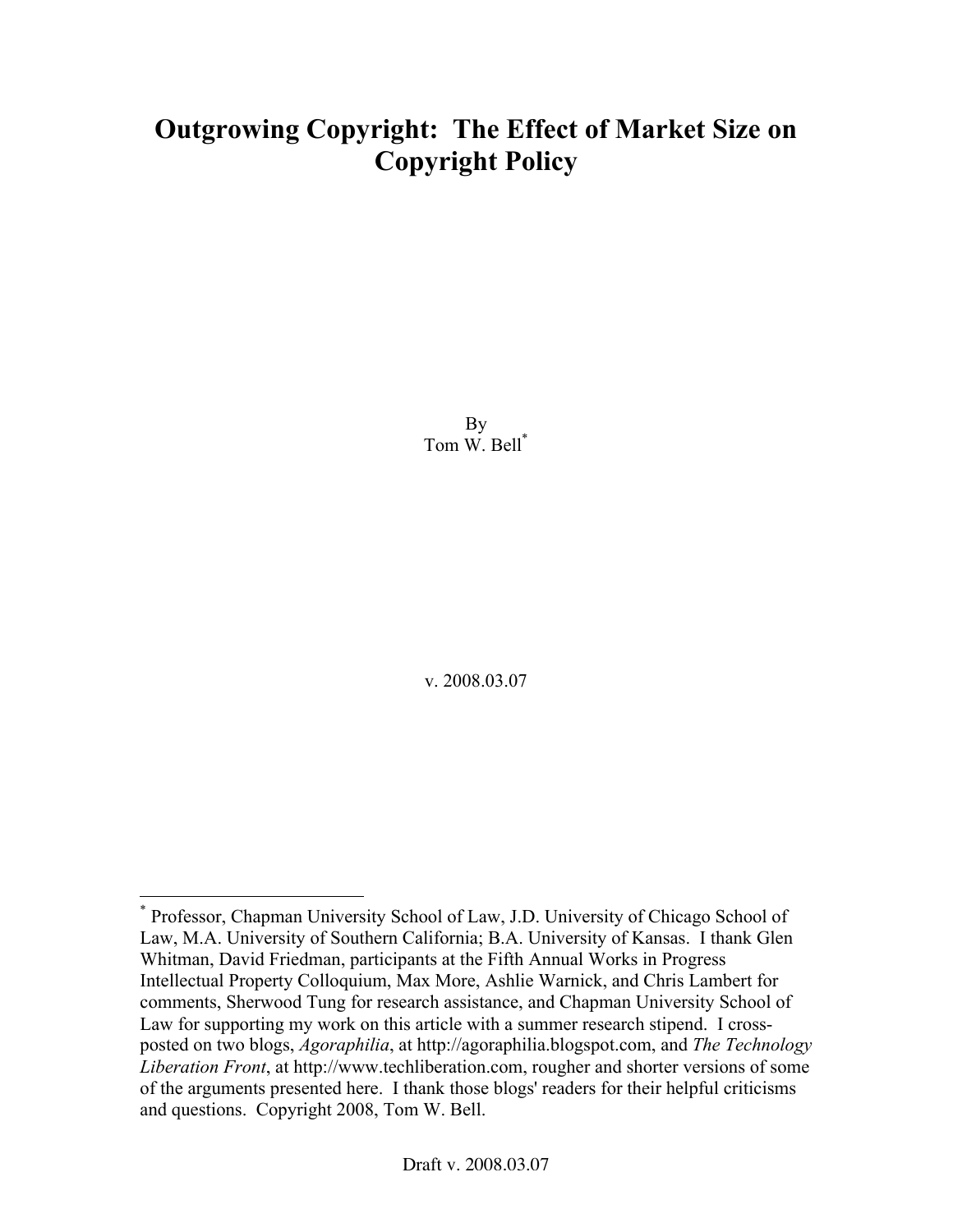# Outgrowing Copyright: The Effect of Market Size on Copyright Policy

By Tom W. Bell\*

v. 2008.03.07

\* Professor, Chapman University School of Law, J.D. University of Chicago School of Law, M.A. University of Southern California; B.A. University of Kansas. I thank Glen Whitman, David Friedman, participants at the Fifth Annual Works in Progress Intellectual Property Colloquium, Max More, Ashlie Warnick, and Chris Lambert for comments, Sherwood Tung for research assistance, and Chapman University School of Law for supporting my work on this article with a summer research stipend. I crossposted on two blogs, *Agoraphilia*, at http://agoraphilia.blogspot.com, and *The Technology Liberation Front*, at http://www.techliberation.com, rougher and shorter versions of some of the arguments presented here. I thank those blogs' readers for their helpful criticisms and questions. Copyright 2008, Tom W. Bell.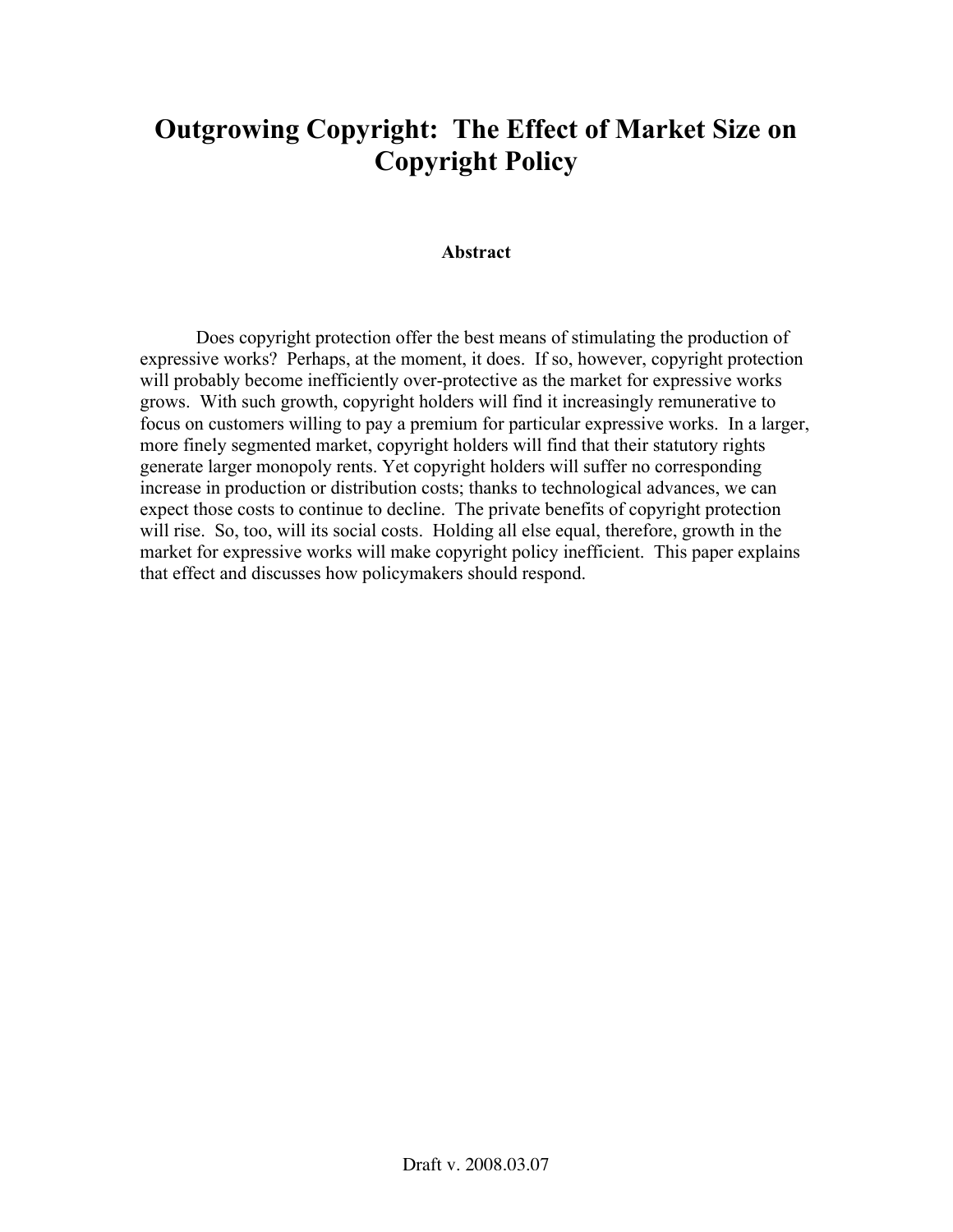# Outgrowing Copyright: The Effect of Market Size on Copyright Policy

### Abstract

Does copyright protection offer the best means of stimulating the production of expressive works? Perhaps, at the moment, it does. If so, however, copyright protection will probably become inefficiently over-protective as the market for expressive works grows. With such growth, copyright holders will find it increasingly remunerative to focus on customers willing to pay a premium for particular expressive works. In a larger, more finely segmented market, copyright holders will find that their statutory rights generate larger monopoly rents. Yet copyright holders will suffer no corresponding increase in production or distribution costs; thanks to technological advances, we can expect those costs to continue to decline. The private benefits of copyright protection will rise. So, too, will its social costs. Holding all else equal, therefore, growth in the market for expressive works will make copyright policy inefficient. This paper explains that effect and discusses how policymakers should respond.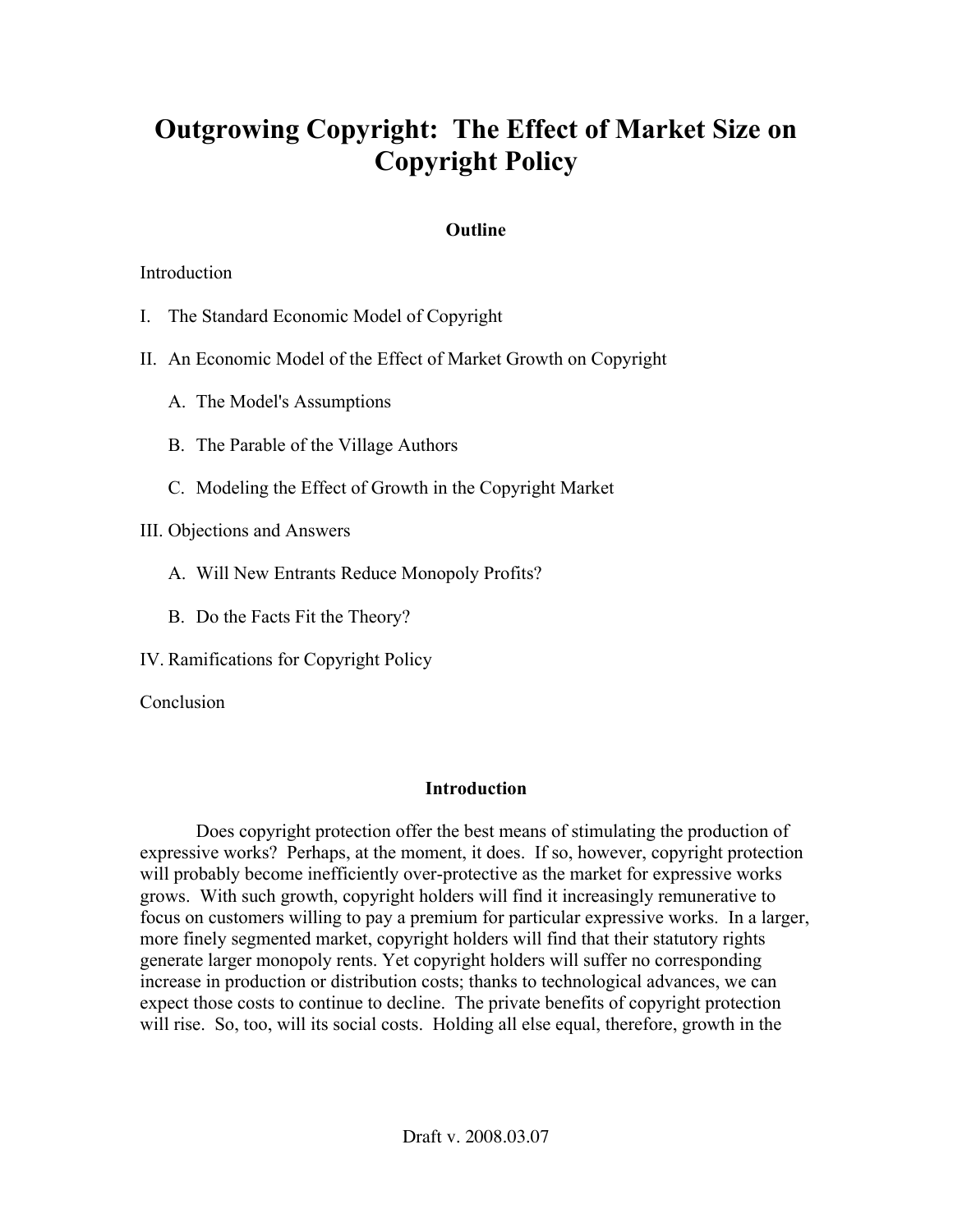# Outgrowing Copyright: The Effect of Market Size on Copyright Policy

# **Outline**

## **Introduction**

- I. The Standard Economic Model of Copyright
- II. An Economic Model of the Effect of Market Growth on Copyright
	- A. The Model's Assumptions
	- B. The Parable of the Village Authors
	- C. Modeling the Effect of Growth in the Copyright Market
- III. Objections and Answers
	- A. Will New Entrants Reduce Monopoly Profits?
	- B. Do the Facts Fit the Theory?
- IV. Ramifications for Copyright Policy

**Conclusion** 

# Introduction

Does copyright protection offer the best means of stimulating the production of expressive works? Perhaps, at the moment, it does. If so, however, copyright protection will probably become inefficiently over-protective as the market for expressive works grows. With such growth, copyright holders will find it increasingly remunerative to focus on customers willing to pay a premium for particular expressive works. In a larger, more finely segmented market, copyright holders will find that their statutory rights generate larger monopoly rents. Yet copyright holders will suffer no corresponding increase in production or distribution costs; thanks to technological advances, we can expect those costs to continue to decline. The private benefits of copyright protection will rise. So, too, will its social costs. Holding all else equal, therefore, growth in the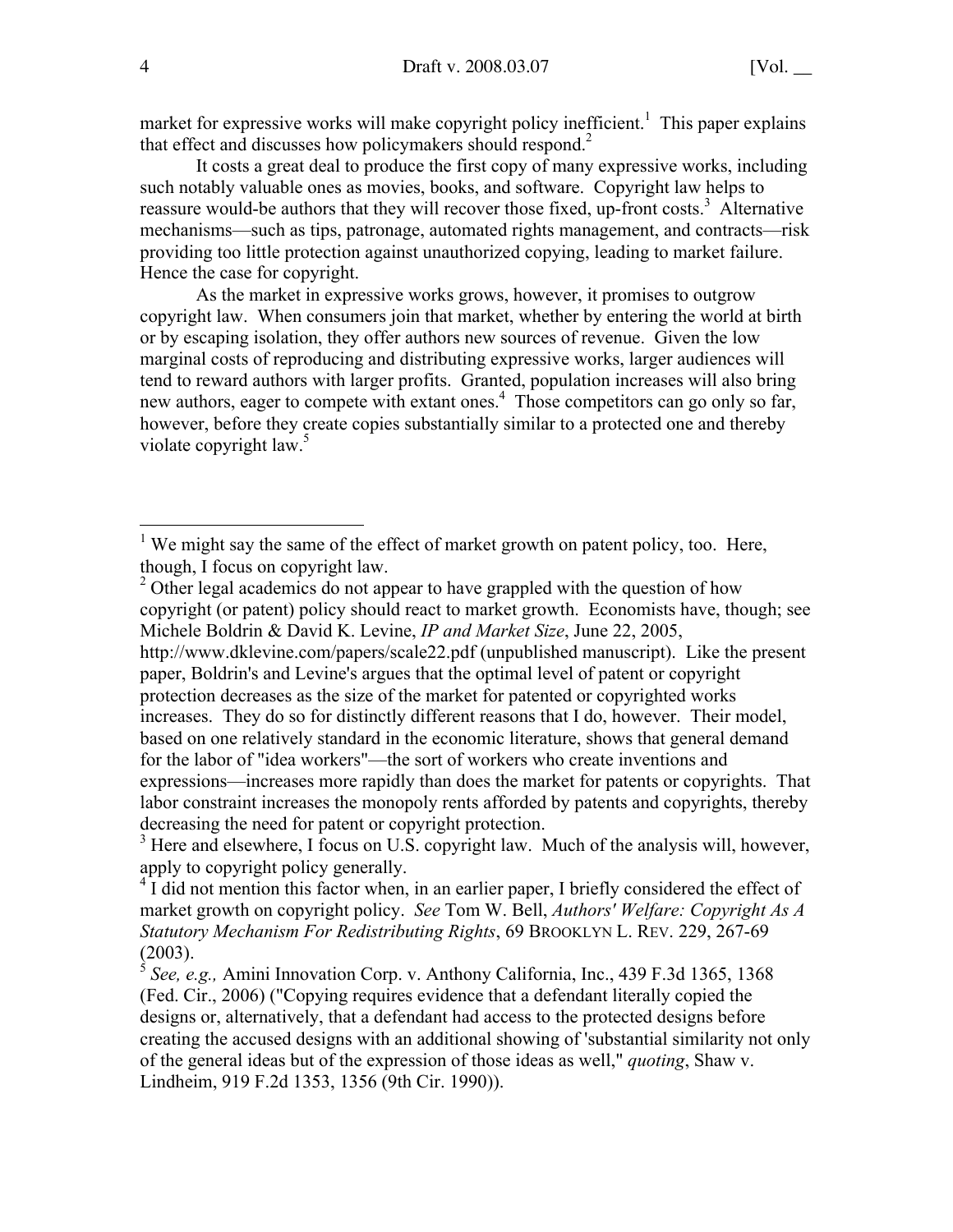market for expressive works will make copyright policy inefficient.<sup>1</sup> This paper explains that effect and discusses how policymakers should respond.<sup>2</sup>

It costs a great deal to produce the first copy of many expressive works, including such notably valuable ones as movies, books, and software. Copyright law helps to reassure would-be authors that they will recover those fixed, up-front costs.<sup>3</sup> Alternative mechanisms—such as tips, patronage, automated rights management, and contracts—risk providing too little protection against unauthorized copying, leading to market failure. Hence the case for copyright.

As the market in expressive works grows, however, it promises to outgrow copyright law. When consumers join that market, whether by entering the world at birth or by escaping isolation, they offer authors new sources of revenue. Given the low marginal costs of reproducing and distributing expressive works, larger audiences will tend to reward authors with larger profits. Granted, population increases will also bring new authors, eager to compete with extant ones.<sup>4</sup> Those competitors can go only so far, however, before they create copies substantially similar to a protected one and thereby violate copyright law.<sup>5</sup>

<sup>&</sup>lt;sup>1</sup> We might say the same of the effect of market growth on patent policy, too. Here, though, I focus on copyright law.

 $2^2$  Other legal academics do not appear to have grappled with the question of how copyright (or patent) policy should react to market growth. Economists have, though; see Michele Boldrin & David K. Levine, *IP and Market Size*, June 22, 2005,

http://www.dklevine.com/papers/scale22.pdf (unpublished manuscript). Like the present paper, Boldrin's and Levine's argues that the optimal level of patent or copyright protection decreases as the size of the market for patented or copyrighted works increases. They do so for distinctly different reasons that I do, however. Their model, based on one relatively standard in the economic literature, shows that general demand for the labor of "idea workers"—the sort of workers who create inventions and expressions—increases more rapidly than does the market for patents or copyrights. That labor constraint increases the monopoly rents afforded by patents and copyrights, thereby decreasing the need for patent or copyright protection.

<sup>&</sup>lt;sup>3</sup> Here and elsewhere, I focus on U.S. copyright law. Much of the analysis will, however, apply to copyright policy generally.

<sup>&</sup>lt;sup>4</sup> I did not mention this factor when, in an earlier paper, I briefly considered the effect of market growth on copyright policy. *See* Tom W. Bell, *Authors' Welfare: Copyright As A Statutory Mechanism For Redistributing Rights*, 69 BROOKLYN L. REV. 229, 267-69 (2003).

<sup>5</sup> *See, e.g.,* Amini Innovation Corp. v. Anthony California, Inc., 439 F.3d 1365, 1368 (Fed. Cir., 2006) ("Copying requires evidence that a defendant literally copied the designs or, alternatively, that a defendant had access to the protected designs before creating the accused designs with an additional showing of 'substantial similarity not only of the general ideas but of the expression of those ideas as well," *quoting*, Shaw v. Lindheim, 919 F.2d 1353, 1356 (9th Cir. 1990)).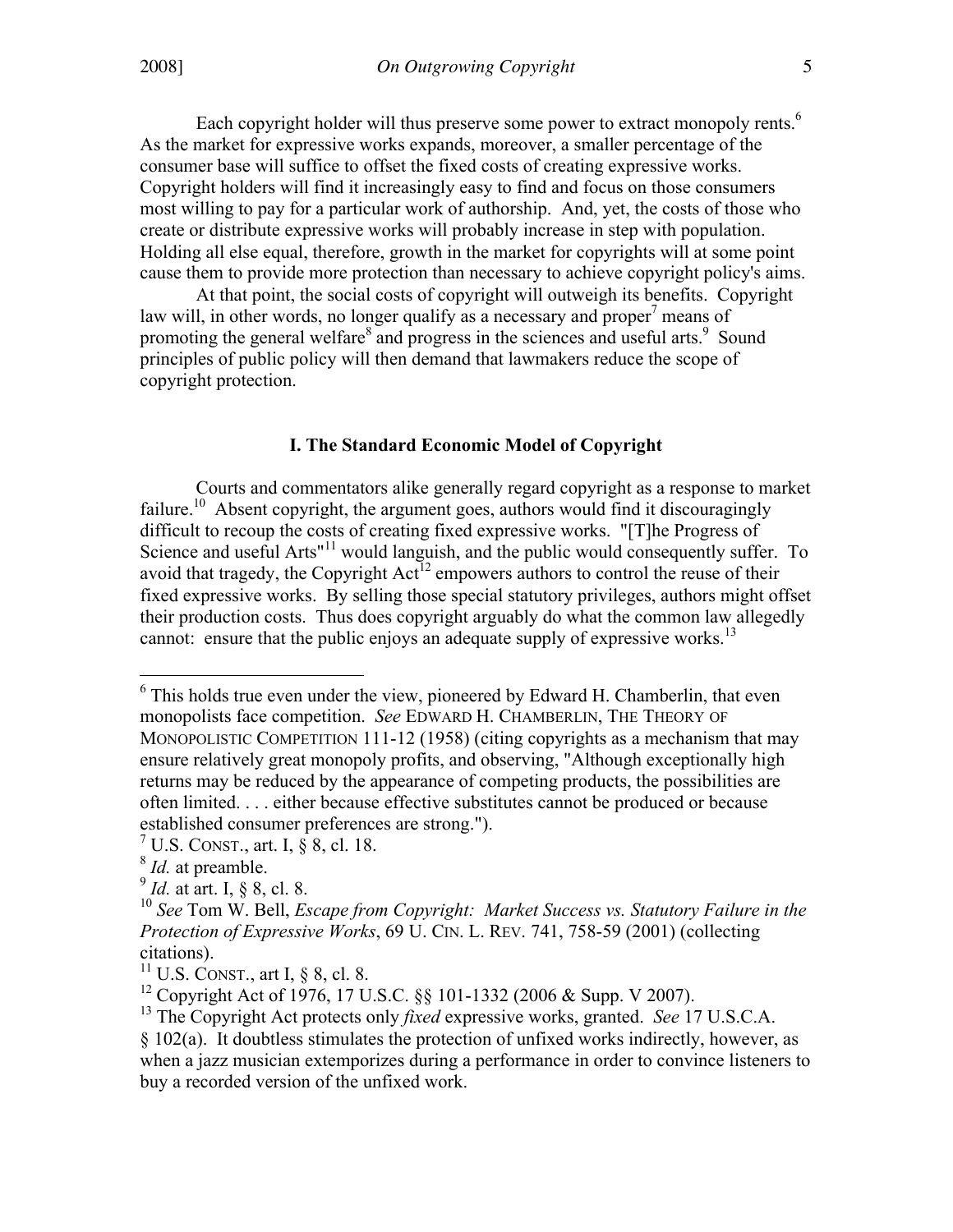Each copyright holder will thus preserve some power to extract monopoly rents.<sup>6</sup> As the market for expressive works expands, moreover, a smaller percentage of the consumer base will suffice to offset the fixed costs of creating expressive works. Copyright holders will find it increasingly easy to find and focus on those consumers most willing to pay for a particular work of authorship. And, yet, the costs of those who create or distribute expressive works will probably increase in step with population. Holding all else equal, therefore, growth in the market for copyrights will at some point cause them to provide more protection than necessary to achieve copyright policy's aims.

At that point, the social costs of copyright will outweigh its benefits. Copyright law will, in other words, no longer qualify as a necessary and proper<sup>7</sup> means of promoting the general welfare<sup>8</sup> and progress in the sciences and useful arts.<sup>9</sup> Sound principles of public policy will then demand that lawmakers reduce the scope of copyright protection.

## I. The Standard Economic Model of Copyright

Courts and commentators alike generally regard copyright as a response to market failure.<sup>10</sup> Absent copyright, the argument goes, authors would find it discouragingly difficult to recoup the costs of creating fixed expressive works. "[T]he Progress of Science and useful Arts"<sup>11</sup> would languish, and the public would consequently suffer. To avoid that tragedy, the Copyright  $Act^{12}$  empowers authors to control the reuse of their fixed expressive works. By selling those special statutory privileges, authors might offset their production costs. Thus does copyright arguably do what the common law allegedly cannot: ensure that the public enjoys an adequate supply of expressive works.<sup>13</sup>

<sup>&</sup>lt;sup>6</sup> This holds true even under the view, pioneered by Edward H. Chamberlin, that even monopolists face competition. *See* EDWARD H. CHAMBERLIN, THE THEORY OF MONOPOLISTIC COMPETITION 111-12 (1958) (citing copyrights as a mechanism that may ensure relatively great monopoly profits, and observing, "Although exceptionally high returns may be reduced by the appearance of competing products, the possibilities are often limited. . . . either because effective substitutes cannot be produced or because established consumer preferences are strong.").

<sup>&</sup>lt;sup>7</sup> U.S. CONST., art. I,  $\frac{8}{9}$  8, cl. 18.

<sup>8</sup> *Id.* at preamble.

 $\frac{9}{1}$ *Id.* at art. I, § 8, cl. 8.

<sup>10</sup> *See* Tom W. Bell, *Escape from Copyright: Market Success vs. Statutory Failure in the Protection of Expressive Works*, 69 U. CIN. L. REV. 741, 758-59 (2001) (collecting citations).

 $11$  U.S. CONST., art I, § 8, cl. 8.

<sup>&</sup>lt;sup>12</sup> Copyright Act of 1976, 17 U.S.C. §§ 101-1332 (2006 & Supp. V 2007).

<sup>&</sup>lt;sup>13</sup> The Copyright Act protects only *fixed* expressive works, granted. *See* 17 U.S.C.A.

<sup>§ 102(</sup>a). It doubtless stimulates the protection of unfixed works indirectly, however, as when a jazz musician extemporizes during a performance in order to convince listeners to buy a recorded version of the unfixed work.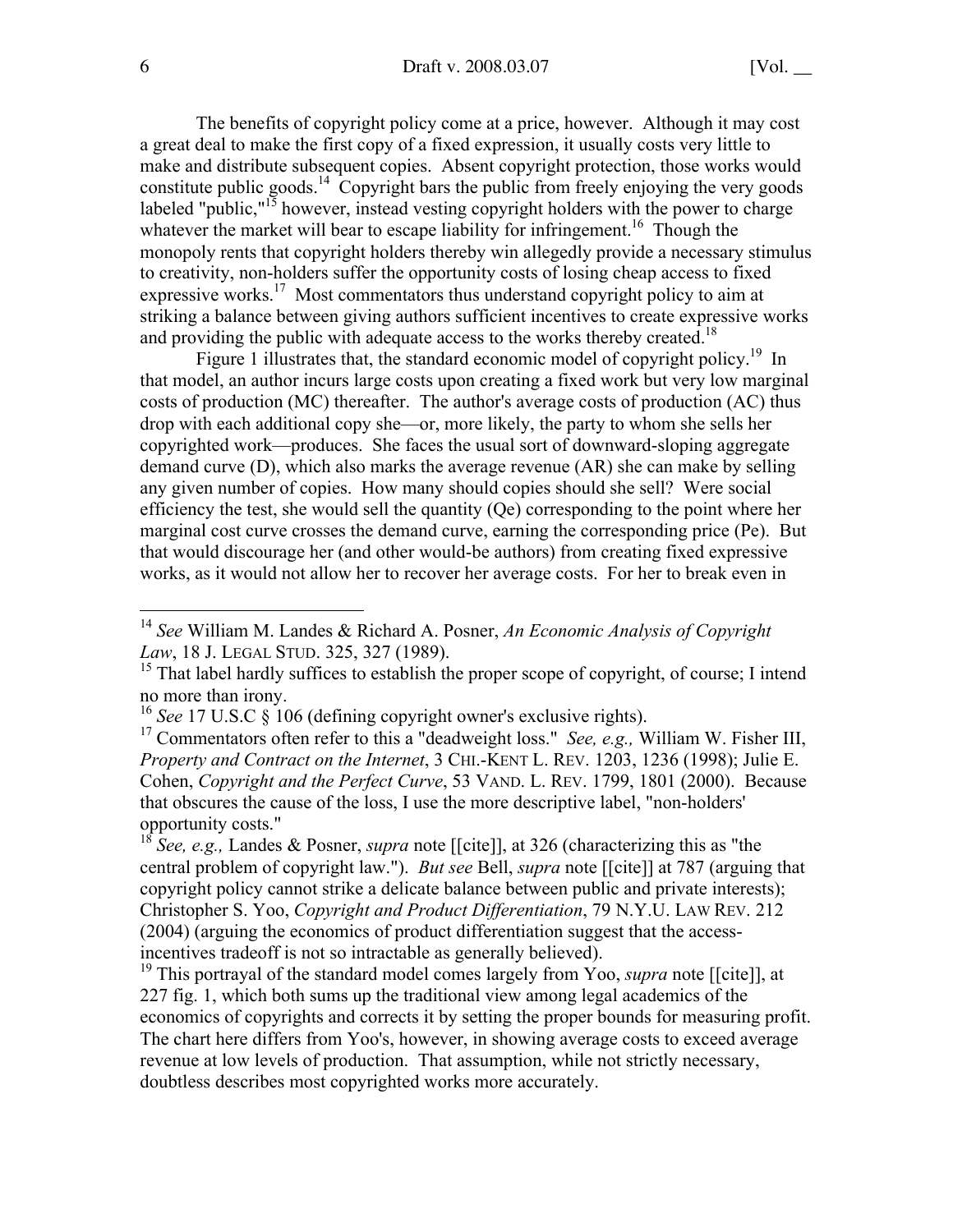The benefits of copyright policy come at a price, however. Although it may cost a great deal to make the first copy of a fixed expression, it usually costs very little to make and distribute subsequent copies. Absent copyright protection, those works would constitute public goods.<sup>14</sup> Copyright bars the public from freely enjoying the very goods labeled "public," $15$  however, instead vesting copyright holders with the power to charge whatever the market will bear to escape liability for infringement.<sup>16</sup> Though the monopoly rents that copyright holders thereby win allegedly provide a necessary stimulus to creativity, non-holders suffer the opportunity costs of losing cheap access to fixed expressive works.<sup>17</sup> Most commentators thus understand copyright policy to aim at striking a balance between giving authors sufficient incentives to create expressive works and providing the public with adequate access to the works thereby created.<sup>18</sup>

Figure 1 illustrates that, the standard economic model of copyright policy.<sup>19</sup> In that model, an author incurs large costs upon creating a fixed work but very low marginal costs of production (MC) thereafter. The author's average costs of production (AC) thus drop with each additional copy she—or, more likely, the party to whom she sells her copyrighted work—produces. She faces the usual sort of downward-sloping aggregate demand curve (D), which also marks the average revenue (AR) she can make by selling any given number of copies. How many should copies should she sell? Were social efficiency the test, she would sell the quantity (Qe) corresponding to the point where her marginal cost curve crosses the demand curve, earning the corresponding price (Pe). But that would discourage her (and other would-be authors) from creating fixed expressive works, as it would not allow her to recover her average costs. For her to break even in

<sup>17</sup> Commentators often refer to this a "deadweight loss." *See, e.g.,* William W. Fisher III, *Property and Contract on the Internet*, 3 CHI.-KENT L. REV. 1203, 1236 (1998); Julie E. Cohen, *Copyright and the Perfect Curve*, 53 VAND. L. REV. 1799, 1801 (2000). Because that obscures the cause of the loss, I use the more descriptive label, "non-holders' opportunity costs."

<sup>18</sup> *See, e.g.,* Landes & Posner, *supra* note [[cite]], at 326 (characterizing this as "the central problem of copyright law."). *But see* Bell, *supra* note [[cite]] at 787 (arguing that copyright policy cannot strike a delicate balance between public and private interests); Christopher S. Yoo, *Copyright and Product Differentiation*, 79 N.Y.U. LAW REV. 212 (2004) (arguing the economics of product differentiation suggest that the accessincentives tradeoff is not so intractable as generally believed).

<sup>19</sup> This portrayal of the standard model comes largely from Yoo, *supra* note [[cite]], at 227 fig. 1, which both sums up the traditional view among legal academics of the economics of copyrights and corrects it by setting the proper bounds for measuring profit. The chart here differs from Yoo's, however, in showing average costs to exceed average revenue at low levels of production. That assumption, while not strictly necessary, doubtless describes most copyrighted works more accurately.

<sup>14</sup> *See* William M. Landes & Richard A. Posner, *An Economic Analysis of Copyright Law*, 18 J. LEGAL STUD. 325, 327 (1989).

<sup>&</sup>lt;sup>15</sup> That label hardly suffices to establish the proper scope of copyright, of course; I intend no more than irony.

<sup>&</sup>lt;sup>16</sup> *See* 17 U.S.C § 106 (defining copyright owner's exclusive rights).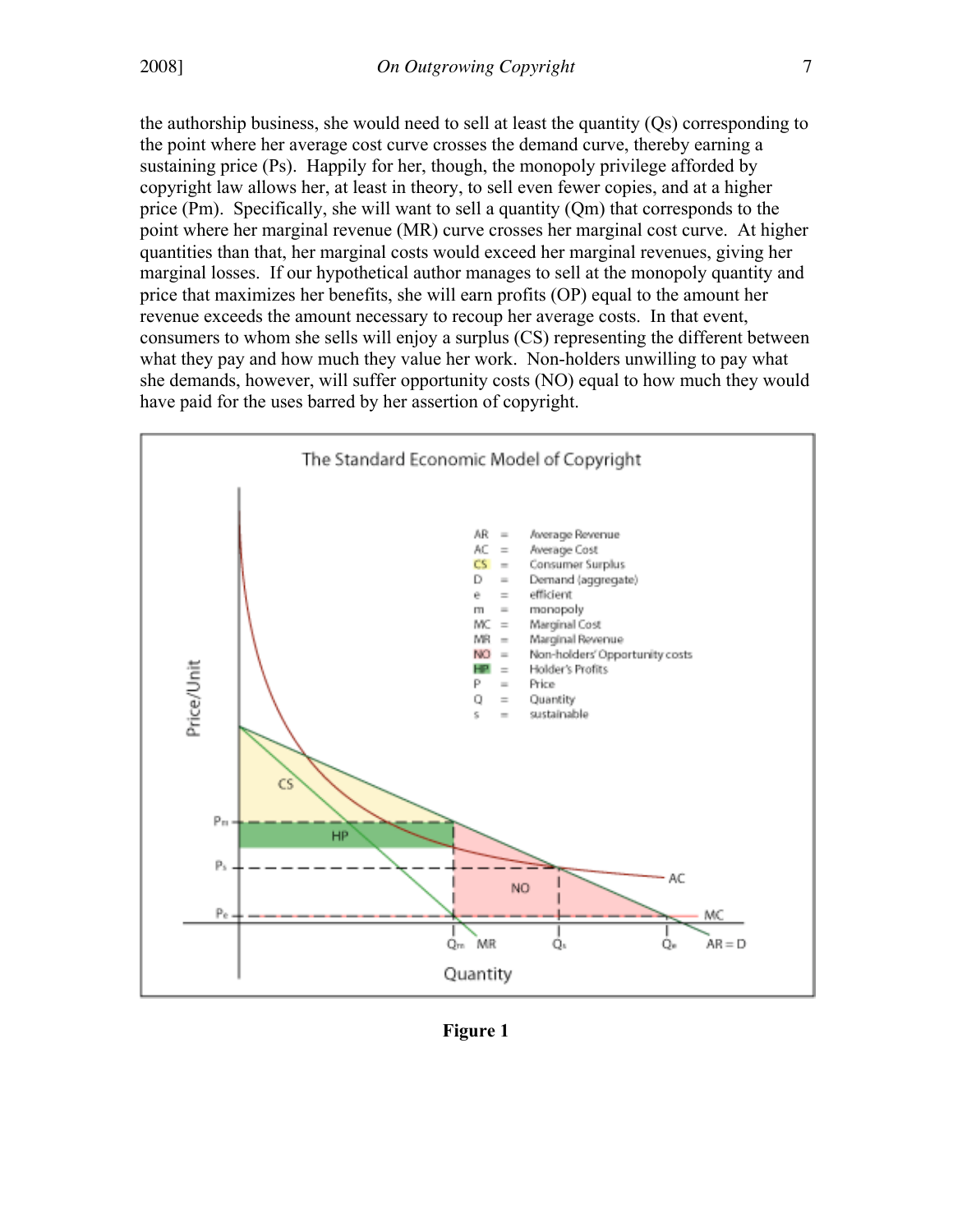the authorship business, she would need to sell at least the quantity (Qs) corresponding to the point where her average cost curve crosses the demand curve, thereby earning a sustaining price (Ps). Happily for her, though, the monopoly privilege afforded by copyright law allows her, at least in theory, to sell even fewer copies, and at a higher price (Pm). Specifically, she will want to sell a quantity (Qm) that corresponds to the point where her marginal revenue (MR) curve crosses her marginal cost curve. At higher quantities than that, her marginal costs would exceed her marginal revenues, giving her marginal losses. If our hypothetical author manages to sell at the monopoly quantity and price that maximizes her benefits, she will earn profits (OP) equal to the amount her revenue exceeds the amount necessary to recoup her average costs. In that event, consumers to whom she sells will enjoy a surplus (CS) representing the different between what they pay and how much they value her work. Non-holders unwilling to pay what she demands, however, will suffer opportunity costs (NO) equal to how much they would have paid for the uses barred by her assertion of copyright.



Figure 1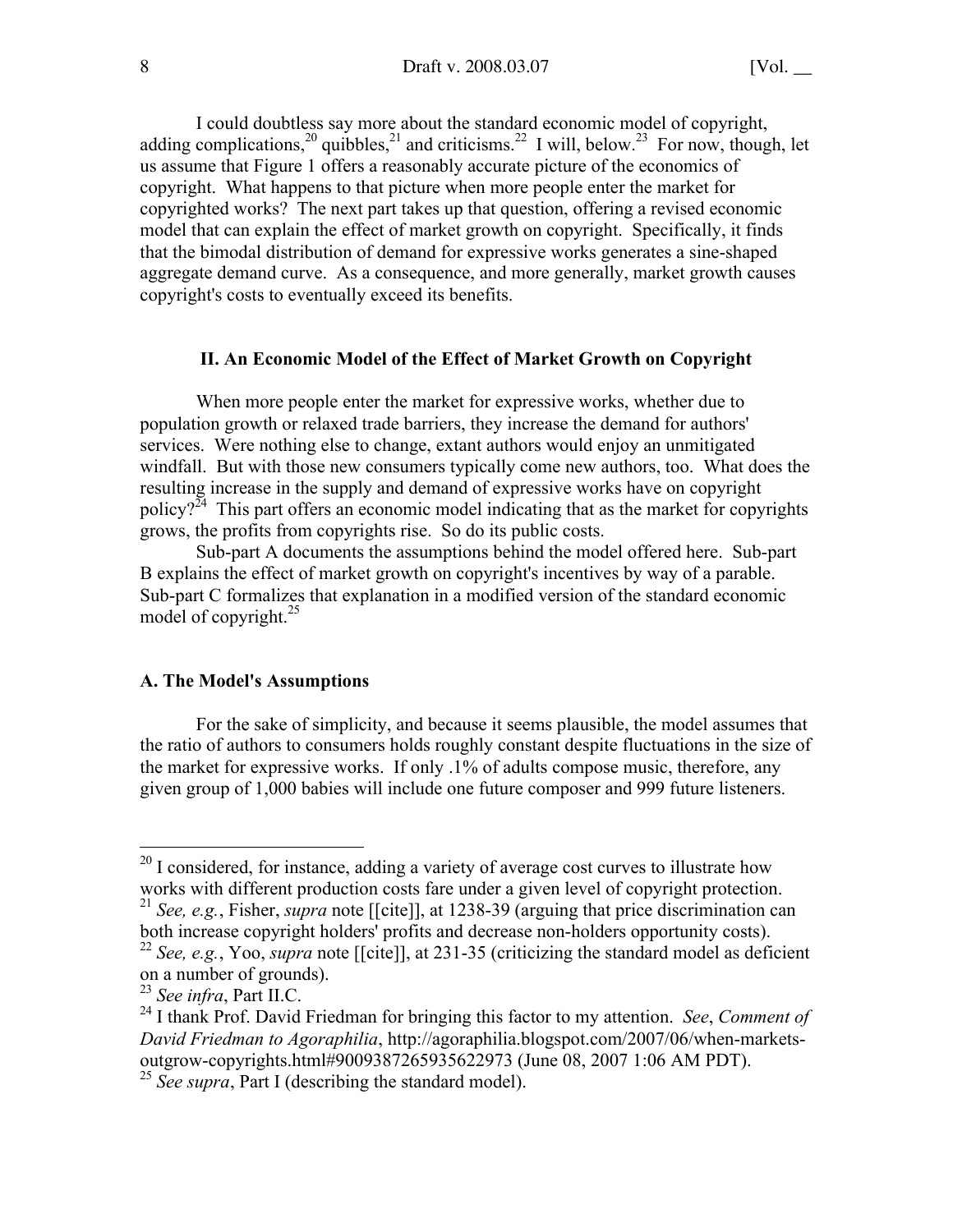I could doubtless say more about the standard economic model of copyright, adding complications,<sup>20</sup> quibbles,<sup>21</sup> and criticisms.<sup>22</sup> I will, below.<sup>23</sup> For now, though, let us assume that Figure 1 offers a reasonably accurate picture of the economics of copyright. What happens to that picture when more people enter the market for copyrighted works? The next part takes up that question, offering a revised economic model that can explain the effect of market growth on copyright. Specifically, it finds that the bimodal distribution of demand for expressive works generates a sine-shaped aggregate demand curve. As a consequence, and more generally, market growth causes copyright's costs to eventually exceed its benefits.

## II. An Economic Model of the Effect of Market Growth on Copyright

When more people enter the market for expressive works, whether due to population growth or relaxed trade barriers, they increase the demand for authors' services. Were nothing else to change, extant authors would enjoy an unmitigated windfall. But with those new consumers typically come new authors, too. What does the resulting increase in the supply and demand of expressive works have on copyright policy? $2^{24}$  This part offers an economic model indicating that as the market for copyrights grows, the profits from copyrights rise. So do its public costs.

Sub-part A documents the assumptions behind the model offered here. Sub-part B explains the effect of market growth on copyright's incentives by way of a parable. Sub-part C formalizes that explanation in a modified version of the standard economic model of copyright. $^{25}$ 

#### A. The Model's Assumptions

For the sake of simplicity, and because it seems plausible, the model assumes that the ratio of authors to consumers holds roughly constant despite fluctuations in the size of the market for expressive works. If only .1% of adults compose music, therefore, any given group of 1,000 babies will include one future composer and 999 future listeners.

<sup>&</sup>lt;sup>20</sup> I considered, for instance, adding a variety of average cost curves to illustrate how works with different production costs fare under a given level of copyright protection.

<sup>21</sup> *See, e.g.*, Fisher, *supra* note [[cite]], at 1238-39 (arguing that price discrimination can both increase copyright holders' profits and decrease non-holders opportunity costs).

<sup>22</sup> *See, e.g.*, Yoo, *supra* note [[cite]], at 231-35 (criticizing the standard model as deficient on a number of grounds).

<sup>23</sup> *See infra*, Part II.C.

<sup>24</sup> I thank Prof. David Friedman for bringing this factor to my attention. *See*, *Comment of David Friedman to Agoraphilia*, http://agoraphilia.blogspot.com/2007/06/when-marketsoutgrow-copyrights.html#9009387265935622973 (June 08, 2007 1:06 AM PDT).

<sup>&</sup>lt;sup>25</sup> *See supra*, Part I (describing the standard model).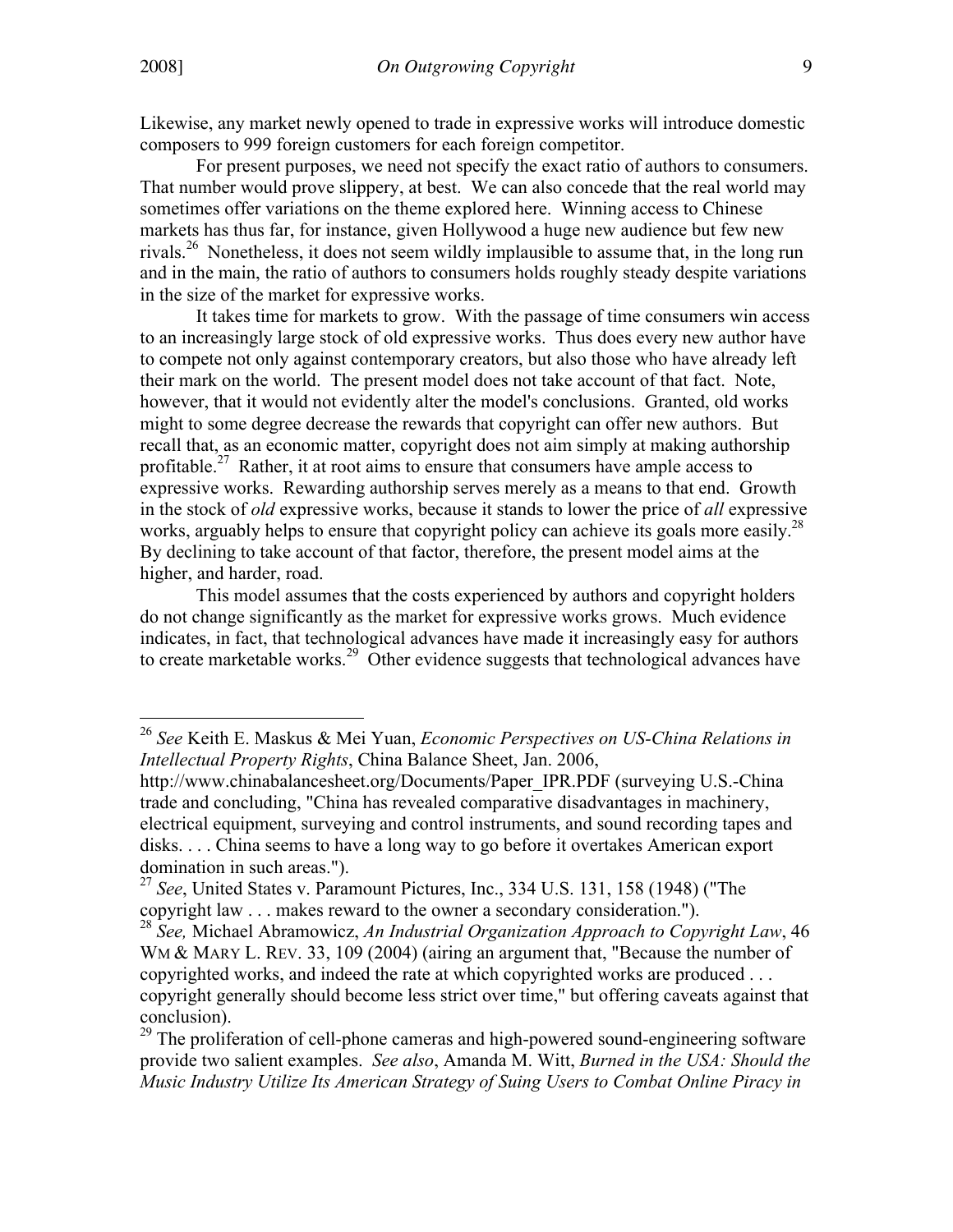Likewise, any market newly opened to trade in expressive works will introduce domestic composers to 999 foreign customers for each foreign competitor.

For present purposes, we need not specify the exact ratio of authors to consumers. That number would prove slippery, at best. We can also concede that the real world may sometimes offer variations on the theme explored here. Winning access to Chinese markets has thus far, for instance, given Hollywood a huge new audience but few new rivals.<sup>26</sup> Nonetheless, it does not seem wildly implausible to assume that, in the long run and in the main, the ratio of authors to consumers holds roughly steady despite variations in the size of the market for expressive works.

It takes time for markets to grow. With the passage of time consumers win access to an increasingly large stock of old expressive works. Thus does every new author have to compete not only against contemporary creators, but also those who have already left their mark on the world. The present model does not take account of that fact. Note, however, that it would not evidently alter the model's conclusions. Granted, old works might to some degree decrease the rewards that copyright can offer new authors. But recall that, as an economic matter, copyright does not aim simply at making authorship profitable.<sup>27</sup> Rather, it at root aims to ensure that consumers have ample access to expressive works. Rewarding authorship serves merely as a means to that end. Growth in the stock of *old* expressive works, because it stands to lower the price of *all* expressive works, arguably helps to ensure that copyright policy can achieve its goals more easily.<sup>28</sup> By declining to take account of that factor, therefore, the present model aims at the higher, and harder, road.

This model assumes that the costs experienced by authors and copyright holders do not change significantly as the market for expressive works grows. Much evidence indicates, in fact, that technological advances have made it increasingly easy for authors to create marketable works.<sup>29</sup> Other evidence suggests that technological advances have

<sup>26</sup> *See* Keith E. Maskus & Mei Yuan, *Economic Perspectives on US-China Relations in Intellectual Property Rights*, China Balance Sheet, Jan. 2006,

http://www.chinabalancesheet.org/Documents/Paper\_IPR.PDF (surveying U.S.-China trade and concluding, "China has revealed comparative disadvantages in machinery, electrical equipment, surveying and control instruments, and sound recording tapes and disks. . . . China seems to have a long way to go before it overtakes American export domination in such areas.").

<sup>27</sup> *See*, United States v. Paramount Pictures, Inc., 334 U.S. 131, 158 (1948) ("The copyright law . . . makes reward to the owner a secondary consideration.").

<sup>28</sup> *See,* Michael Abramowicz, *An Industrial Organization Approach to Copyright Law*, 46 WM & MARY L. REV. 33, 109 (2004) (airing an argument that, "Because the number of copyrighted works, and indeed the rate at which copyrighted works are produced . . . copyright generally should become less strict over time," but offering caveats against that conclusion).

 $29$  The proliferation of cell-phone cameras and high-powered sound-engineering software provide two salient examples. *See also*, Amanda M. Witt, *Burned in the USA: Should the Music Industry Utilize Its American Strategy of Suing Users to Combat Online Piracy in*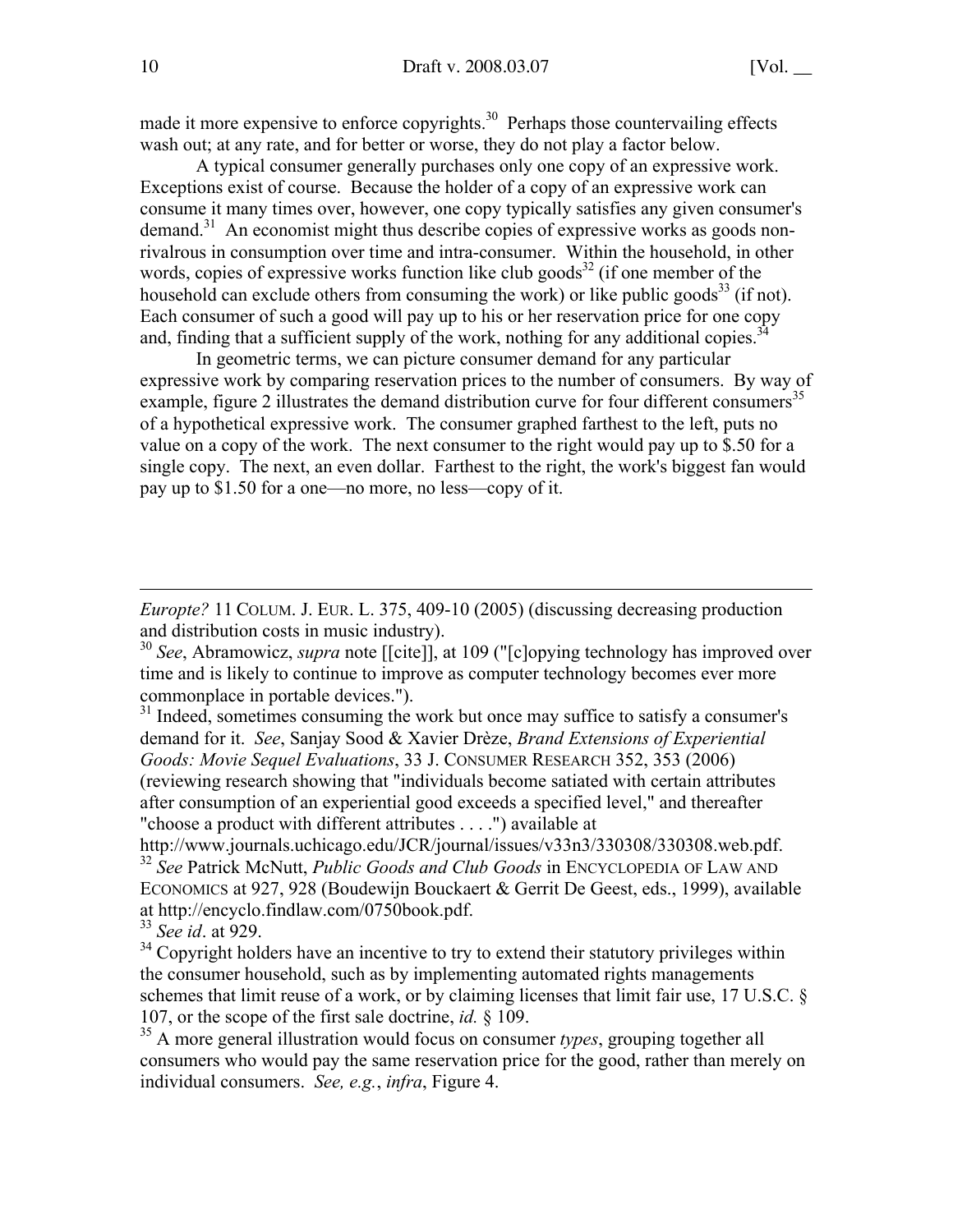made it more expensive to enforce copyrights.<sup>30</sup> Perhaps those countervailing effects wash out; at any rate, and for better or worse, they do not play a factor below.

A typical consumer generally purchases only one copy of an expressive work. Exceptions exist of course. Because the holder of a copy of an expressive work can consume it many times over, however, one copy typically satisfies any given consumer's demand.<sup>31</sup> An economist might thus describe copies of expressive works as goods nonrivalrous in consumption over time and intra-consumer. Within the household, in other words, copies of expressive works function like club goods $^{32}$  (if one member of the household can exclude others from consuming the work) or like public goods<sup>33</sup> (if not). Each consumer of such a good will pay up to his or her reservation price for one copy and, finding that a sufficient supply of the work, nothing for any additional copies.<sup>3</sup>

In geometric terms, we can picture consumer demand for any particular expressive work by comparing reservation prices to the number of consumers. By way of example, figure 2 illustrates the demand distribution curve for four different consumers<sup>35</sup> of a hypothetical expressive work. The consumer graphed farthest to the left, puts no value on a copy of the work. The next consumer to the right would pay up to \$.50 for a single copy. The next, an even dollar. Farthest to the right, the work's biggest fan would pay up to \$1.50 for a one—no more, no less—copy of it.

*Europte?* 11 COLUM. J. EUR. L. 375, 409-10 (2005) (discussing decreasing production and distribution costs in music industry).

<sup>30</sup> *See*, Abramowicz, *supra* note [[cite]], at 109 ("[c]opying technology has improved over time and is likely to continue to improve as computer technology becomes ever more commonplace in portable devices.").

<sup>31</sup> Indeed, sometimes consuming the work but once may suffice to satisfy a consumer's demand for it. *See*, Sanjay Sood & Xavier Drèze, *Brand Extensions of Experiential Goods: Movie Sequel Evaluations*, 33 J. CONSUMER RESEARCH 352, 353 (2006) (reviewing research showing that "individuals become satiated with certain attributes after consumption of an experiential good exceeds a specified level," and thereafter "choose a product with different attributes . . . .") available at

http://www.journals.uchicago.edu/JCR/journal/issues/v33n3/330308/330308.web.pdf. <sup>32</sup> *See* Patrick McNutt, *Public Goods and Club Goods* in ENCYCLOPEDIA OF LAW AND ECONOMICS at 927, 928 (Boudewijn Bouckaert & Gerrit De Geest, eds., 1999), available at http://encyclo.findlaw.com/0750book.pdf.

<sup>33</sup> *See id*. at 929.

 $34$  Copyright holders have an incentive to try to extend their statutory privileges within the consumer household, such as by implementing automated rights managements schemes that limit reuse of a work, or by claiming licenses that limit fair use, 17 U.S.C. § 107, or the scope of the first sale doctrine, *id.* § 109.

35 A more general illustration would focus on consumer *types*, grouping together all consumers who would pay the same reservation price for the good, rather than merely on individual consumers. *See, e.g.*, *infra*, Figure 4.

 $\overline{a}$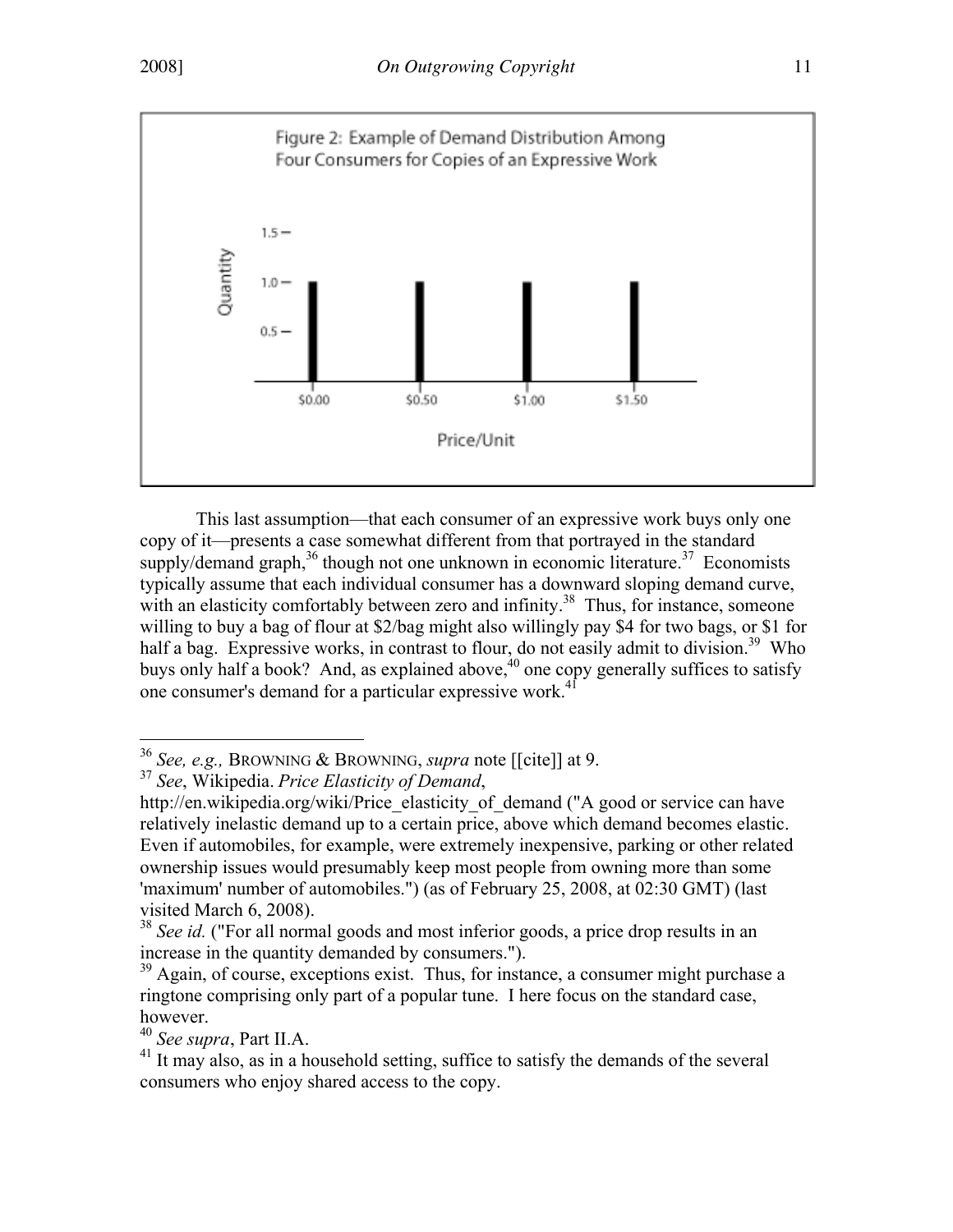

This last assumption—that each consumer of an expressive work buys only one copy of it—presents a case somewhat different from that portrayed in the standard supply/demand graph,  $36$  though not one unknown in economic literature.  $37$  Economists typically assume that each individual consumer has a downward sloping demand curve, with an elasticity comfortably between zero and infinity.<sup>38</sup> Thus, for instance, someone willing to buy a bag of flour at \$2/bag might also willingly pay \$4 for two bags, or \$1 for half a bag. Expressive works, in contrast to flour, do not easily admit to division.<sup>39</sup> Who buys only half a book? And, as explained above,  $40$  one copy generally suffices to satisfy one consumer's demand for a particular expressive work.<sup>4</sup>

<sup>36</sup> *See, e.g.,* BROWNING & BROWNING, *supra* note [[cite]] at 9.

<sup>37</sup> *See*, Wikipedia. *Price Elasticity of Demand*,

http://en.wikipedia.org/wiki/Price\_elasticity\_of\_demand ("A good or service can have relatively inelastic demand up to a certain price, above which demand becomes elastic. Even if automobiles, for example, were extremely inexpensive, parking or other related ownership issues would presumably keep most people from owning more than some 'maximum' number of automobiles.") (as of February 25, 2008, at 02:30 GMT) (last visited March 6, 2008).

<sup>&</sup>lt;sup>38</sup> *See id.* ("For all normal goods and most inferior goods, a price drop results in an increase in the quantity demanded by consumers.").

<sup>&</sup>lt;sup>39</sup> Again, of course, exceptions exist. Thus, for instance, a consumer might purchase a ringtone comprising only part of a popular tune. I here focus on the standard case, however.

<sup>40</sup> *See supra*, Part II.A.

 $41$  It may also, as in a household setting, suffice to satisfy the demands of the several consumers who enjoy shared access to the copy.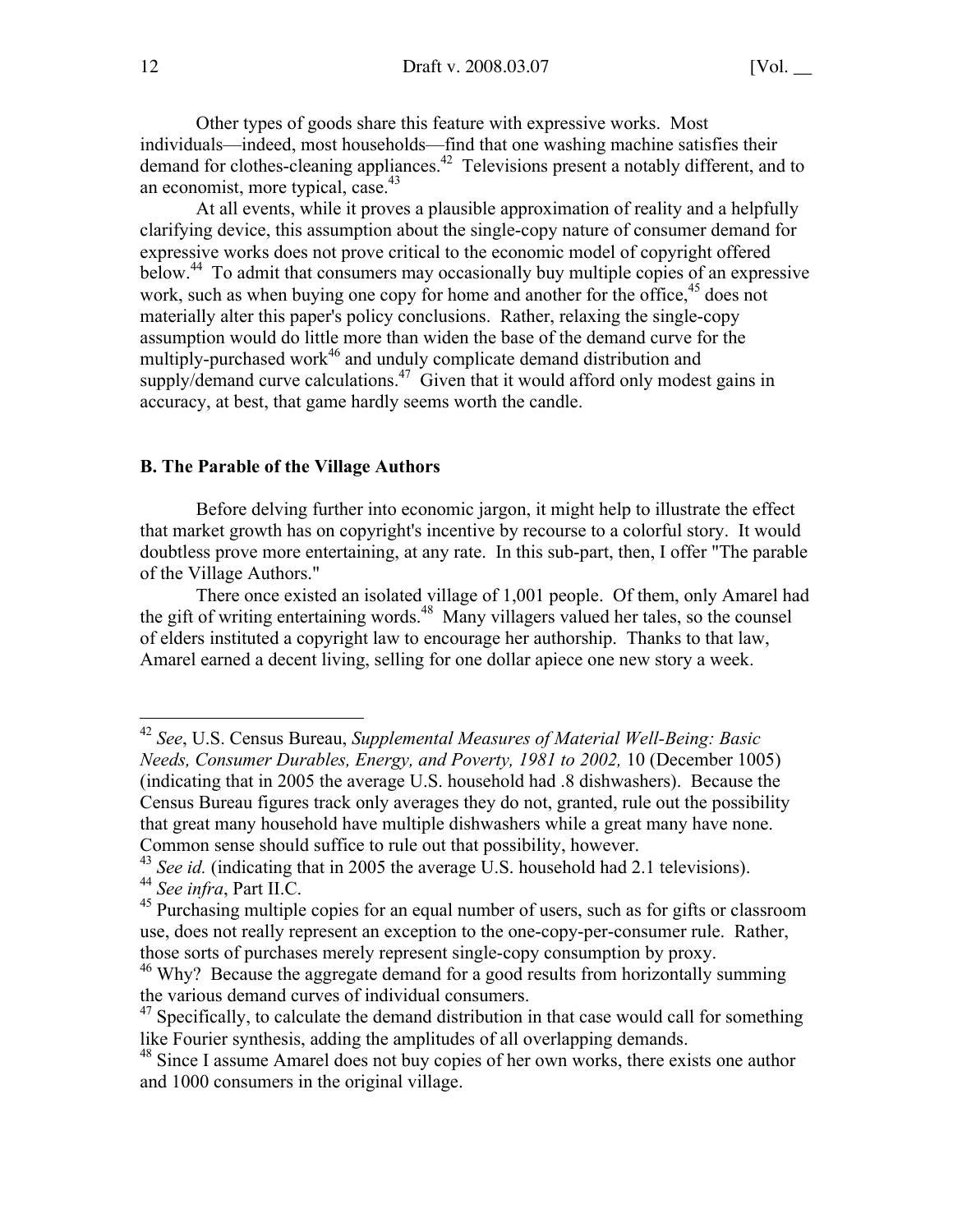Other types of goods share this feature with expressive works. Most individuals—indeed, most households—find that one washing machine satisfies their demand for clothes-cleaning appliances.<sup>42</sup> Televisions present a notably different, and to an economist, more typical, case. $43$ 

At all events, while it proves a plausible approximation of reality and a helpfully clarifying device, this assumption about the single-copy nature of consumer demand for expressive works does not prove critical to the economic model of copyright offered below.<sup>44</sup> To admit that consumers may occasionally buy multiple copies of an expressive work, such as when buying one copy for home and another for the office, <sup>45</sup> does not materially alter this paper's policy conclusions. Rather, relaxing the single-copy assumption would do little more than widen the base of the demand curve for the multiply-purchased work<sup>46</sup> and unduly complicate demand distribution and supply/demand curve calculations. $47$  Given that it would afford only modest gains in accuracy, at best, that game hardly seems worth the candle.

#### B. The Parable of the Village Authors

Before delving further into economic jargon, it might help to illustrate the effect that market growth has on copyright's incentive by recourse to a colorful story. It would doubtless prove more entertaining, at any rate. In this sub-part, then, I offer "The parable of the Village Authors."

There once existed an isolated village of 1,001 people. Of them, only Amarel had the gift of writing entertaining words.<sup>48</sup> Many villagers valued her tales, so the counsel of elders instituted a copyright law to encourage her authorship. Thanks to that law, Amarel earned a decent living, selling for one dollar apiece one new story a week.

<sup>42</sup> *See*, U.S. Census Bureau, *Supplemental Measures of Material Well-Being: Basic Needs, Consumer Durables, Energy, and Poverty, 1981 to 2002,* 10 (December 1005) (indicating that in 2005 the average U.S. household had .8 dishwashers). Because the Census Bureau figures track only averages they do not, granted, rule out the possibility that great many household have multiple dishwashers while a great many have none. Common sense should suffice to rule out that possibility, however.

 $43$  *See id.* (indicating that in 2005 the average U.S. household had 2.1 televisions).

<sup>44</sup> *See infra*, Part II.C.

<sup>&</sup>lt;sup>45</sup> Purchasing multiple copies for an equal number of users, such as for gifts or classroom use, does not really represent an exception to the one-copy-per-consumer rule. Rather, those sorts of purchases merely represent single-copy consumption by proxy.

<sup>&</sup>lt;sup>46</sup> Why? Because the aggregate demand for a good results from horizontally summing the various demand curves of individual consumers.

 $47$  Specifically, to calculate the demand distribution in that case would call for something like Fourier synthesis, adding the amplitudes of all overlapping demands.

<sup>&</sup>lt;sup>48</sup> Since I assume Amarel does not buy copies of her own works, there exists one author and 1000 consumers in the original village.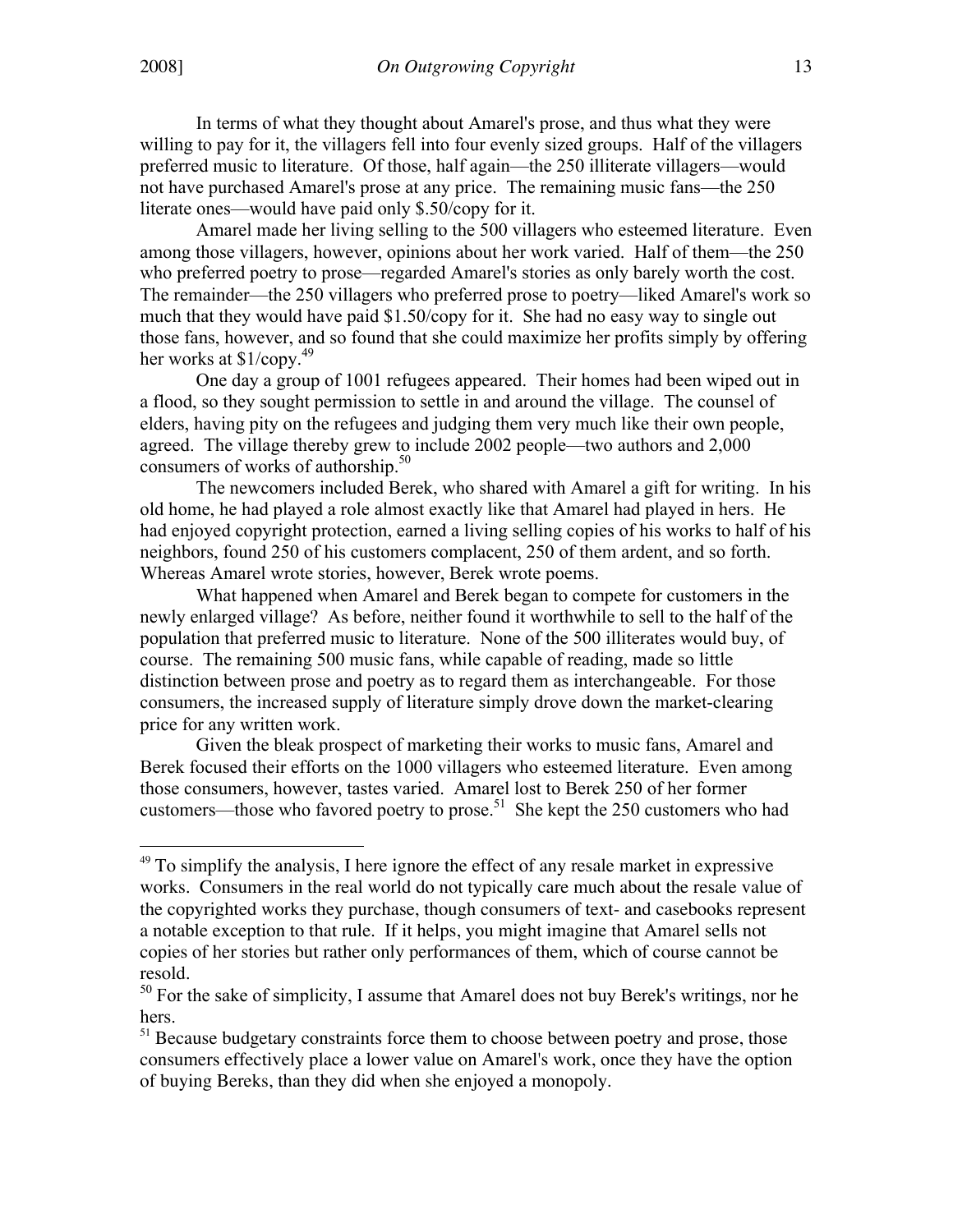In terms of what they thought about Amarel's prose, and thus what they were willing to pay for it, the villagers fell into four evenly sized groups. Half of the villagers preferred music to literature. Of those, half again—the 250 illiterate villagers—would not have purchased Amarel's prose at any price. The remaining music fans—the 250 literate ones—would have paid only \$.50/copy for it.

Amarel made her living selling to the 500 villagers who esteemed literature. Even among those villagers, however, opinions about her work varied. Half of them—the 250 who preferred poetry to prose—regarded Amarel's stories as only barely worth the cost. The remainder—the 250 villagers who preferred prose to poetry—liked Amarel's work so much that they would have paid \$1.50/copy for it. She had no easy way to single out those fans, however, and so found that she could maximize her profits simply by offering her works at  $$1$ /copy.<sup>49</sup>

One day a group of 1001 refugees appeared. Their homes had been wiped out in a flood, so they sought permission to settle in and around the village. The counsel of elders, having pity on the refugees and judging them very much like their own people, agreed. The village thereby grew to include 2002 people—two authors and 2,000 consumers of works of authorship. $50$ 

The newcomers included Berek, who shared with Amarel a gift for writing. In his old home, he had played a role almost exactly like that Amarel had played in hers. He had enjoyed copyright protection, earned a living selling copies of his works to half of his neighbors, found 250 of his customers complacent, 250 of them ardent, and so forth. Whereas Amarel wrote stories, however, Berek wrote poems.

What happened when Amarel and Berek began to compete for customers in the newly enlarged village? As before, neither found it worthwhile to sell to the half of the population that preferred music to literature. None of the 500 illiterates would buy, of course. The remaining 500 music fans, while capable of reading, made so little distinction between prose and poetry as to regard them as interchangeable. For those consumers, the increased supply of literature simply drove down the market-clearing price for any written work.

Given the bleak prospect of marketing their works to music fans, Amarel and Berek focused their efforts on the 1000 villagers who esteemed literature. Even among those consumers, however, tastes varied. Amarel lost to Berek 250 of her former customers—those who favored poetry to prose.<sup>51</sup> She kept the 250 customers who had

<sup>&</sup>lt;sup>49</sup> To simplify the analysis, I here ignore the effect of any resale market in expressive works. Consumers in the real world do not typically care much about the resale value of the copyrighted works they purchase, though consumers of text- and casebooks represent a notable exception to that rule. If it helps, you might imagine that Amarel sells not copies of her stories but rather only performances of them, which of course cannot be resold.

 $50$  For the sake of simplicity, I assume that Amarel does not buy Berek's writings, nor he hers.

<sup>&</sup>lt;sup>51</sup> Because budgetary constraints force them to choose between poetry and prose, those consumers effectively place a lower value on Amarel's work, once they have the option of buying Bereks, than they did when she enjoyed a monopoly.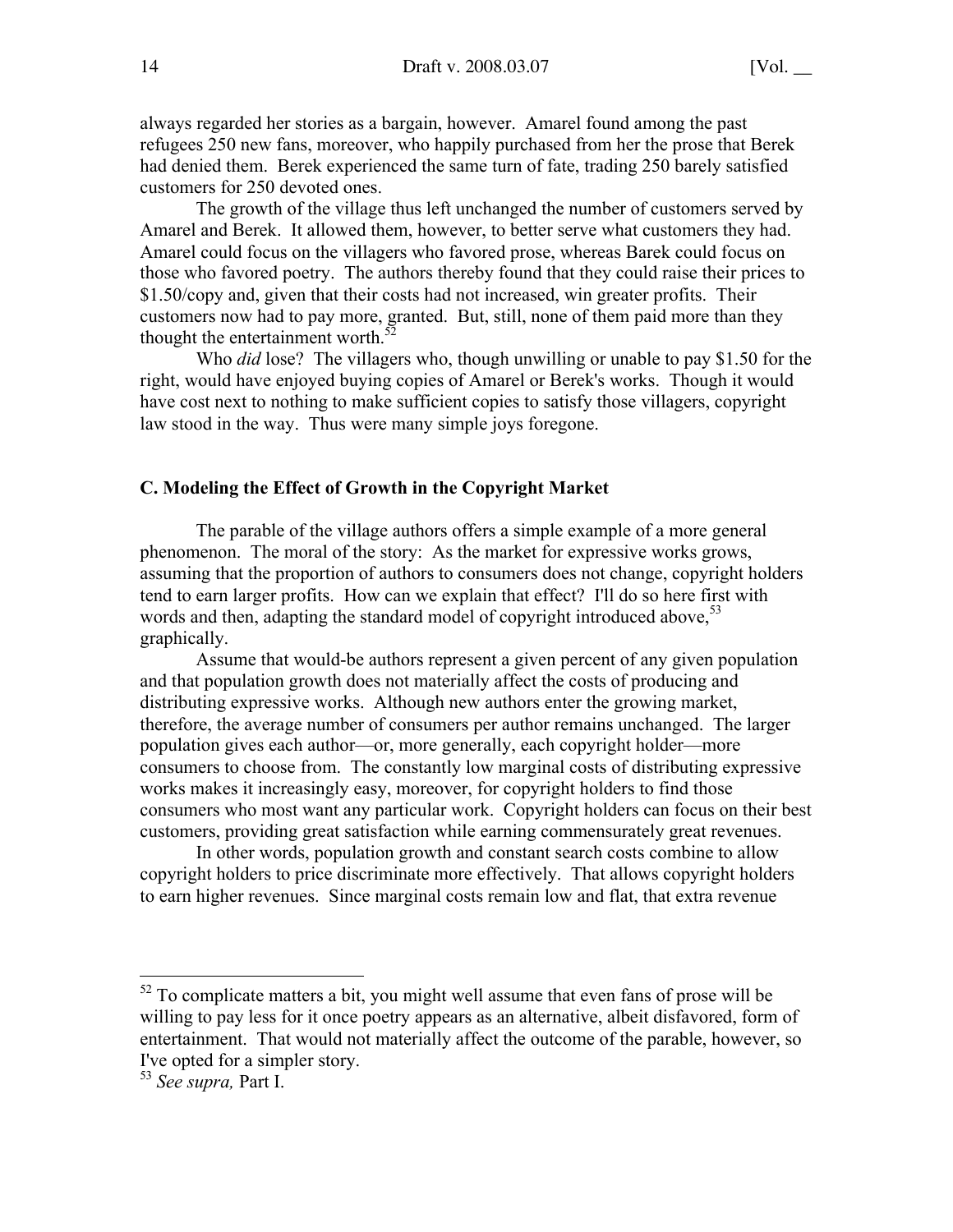always regarded her stories as a bargain, however. Amarel found among the past refugees 250 new fans, moreover, who happily purchased from her the prose that Berek had denied them. Berek experienced the same turn of fate, trading 250 barely satisfied customers for 250 devoted ones.

The growth of the village thus left unchanged the number of customers served by Amarel and Berek. It allowed them, however, to better serve what customers they had. Amarel could focus on the villagers who favored prose, whereas Barek could focus on those who favored poetry. The authors thereby found that they could raise their prices to \$1.50/copy and, given that their costs had not increased, win greater profits. Their customers now had to pay more, granted. But, still, none of them paid more than they thought the entertainment worth. $52$ 

Who *did* lose? The villagers who, though unwilling or unable to pay \$1.50 for the right, would have enjoyed buying copies of Amarel or Berek's works. Though it would have cost next to nothing to make sufficient copies to satisfy those villagers, copyright law stood in the way. Thus were many simple joys foregone.

## C. Modeling the Effect of Growth in the Copyright Market

The parable of the village authors offers a simple example of a more general phenomenon. The moral of the story: As the market for expressive works grows, assuming that the proportion of authors to consumers does not change, copyright holders tend to earn larger profits. How can we explain that effect? I'll do so here first with words and then, adapting the standard model of copyright introduced above,  $53$ graphically.

Assume that would-be authors represent a given percent of any given population and that population growth does not materially affect the costs of producing and distributing expressive works. Although new authors enter the growing market, therefore, the average number of consumers per author remains unchanged. The larger population gives each author—or, more generally, each copyright holder—more consumers to choose from. The constantly low marginal costs of distributing expressive works makes it increasingly easy, moreover, for copyright holders to find those consumers who most want any particular work. Copyright holders can focus on their best customers, providing great satisfaction while earning commensurately great revenues.

In other words, population growth and constant search costs combine to allow copyright holders to price discriminate more effectively. That allows copyright holders to earn higher revenues. Since marginal costs remain low and flat, that extra revenue

<sup>&</sup>lt;sup>52</sup> To complicate matters a bit, you might well assume that even fans of prose will be willing to pay less for it once poetry appears as an alternative, albeit disfavored, form of entertainment. That would not materially affect the outcome of the parable, however, so I've opted for a simpler story.

<sup>53</sup> *See supra,* Part I.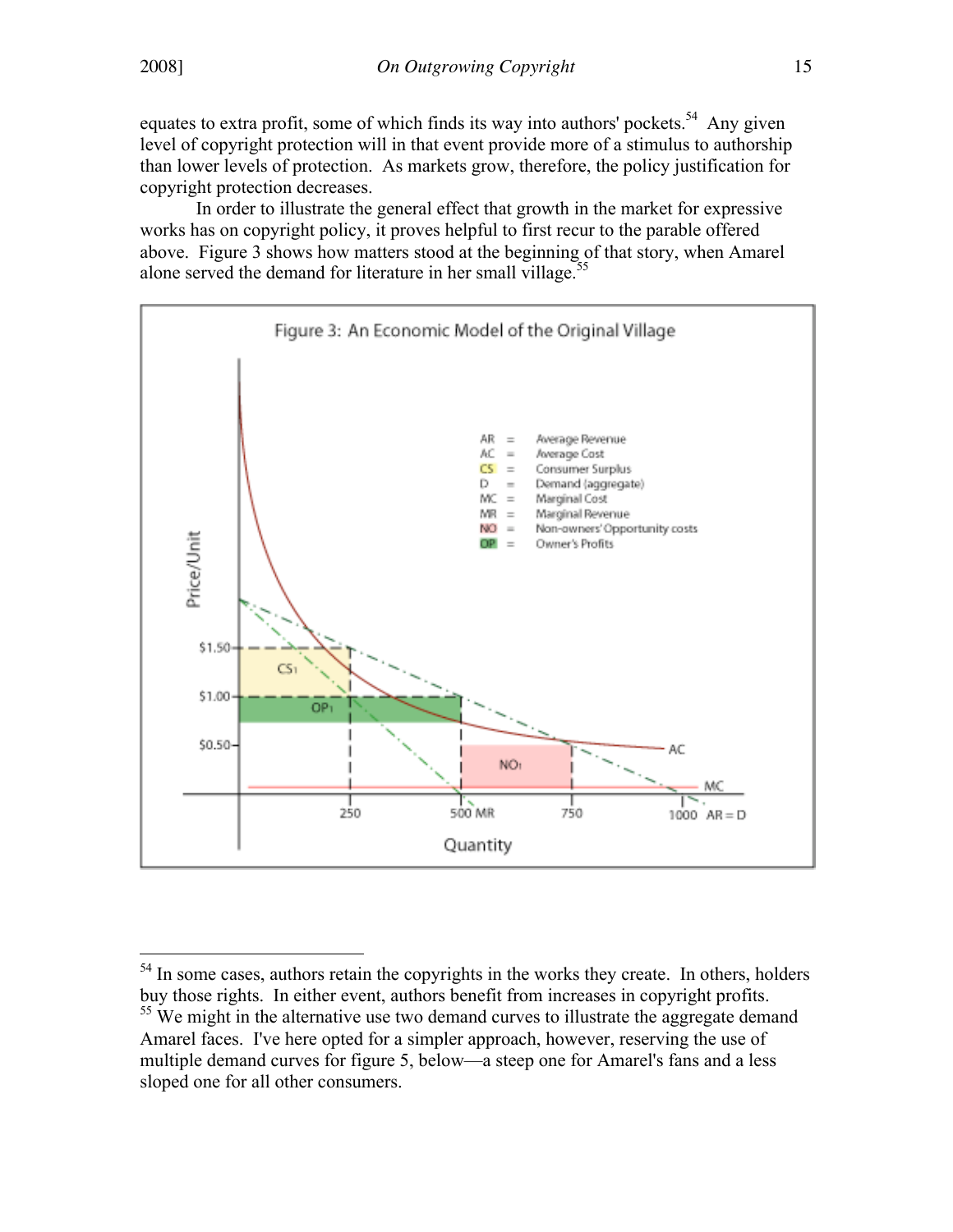equates to extra profit, some of which finds its way into authors' pockets.<sup>54</sup> Any given level of copyright protection will in that event provide more of a stimulus to authorship than lower levels of protection. As markets grow, therefore, the policy justification for copyright protection decreases.

In order to illustrate the general effect that growth in the market for expressive works has on copyright policy, it proves helpful to first recur to the parable offered above. Figure 3 shows how matters stood at the beginning of that story, when Amarel alone served the demand for literature in her small village.<sup>55</sup>



<sup>&</sup>lt;sup>54</sup> In some cases, authors retain the copyrights in the works they create. In others, holders buy those rights. In either event, authors benefit from increases in copyright profits.  $55$  We might in the alternative use two demand curves to illustrate the aggregate demand Amarel faces. I've here opted for a simpler approach, however, reserving the use of multiple demand curves for figure 5, below—a steep one for Amarel's fans and a less sloped one for all other consumers.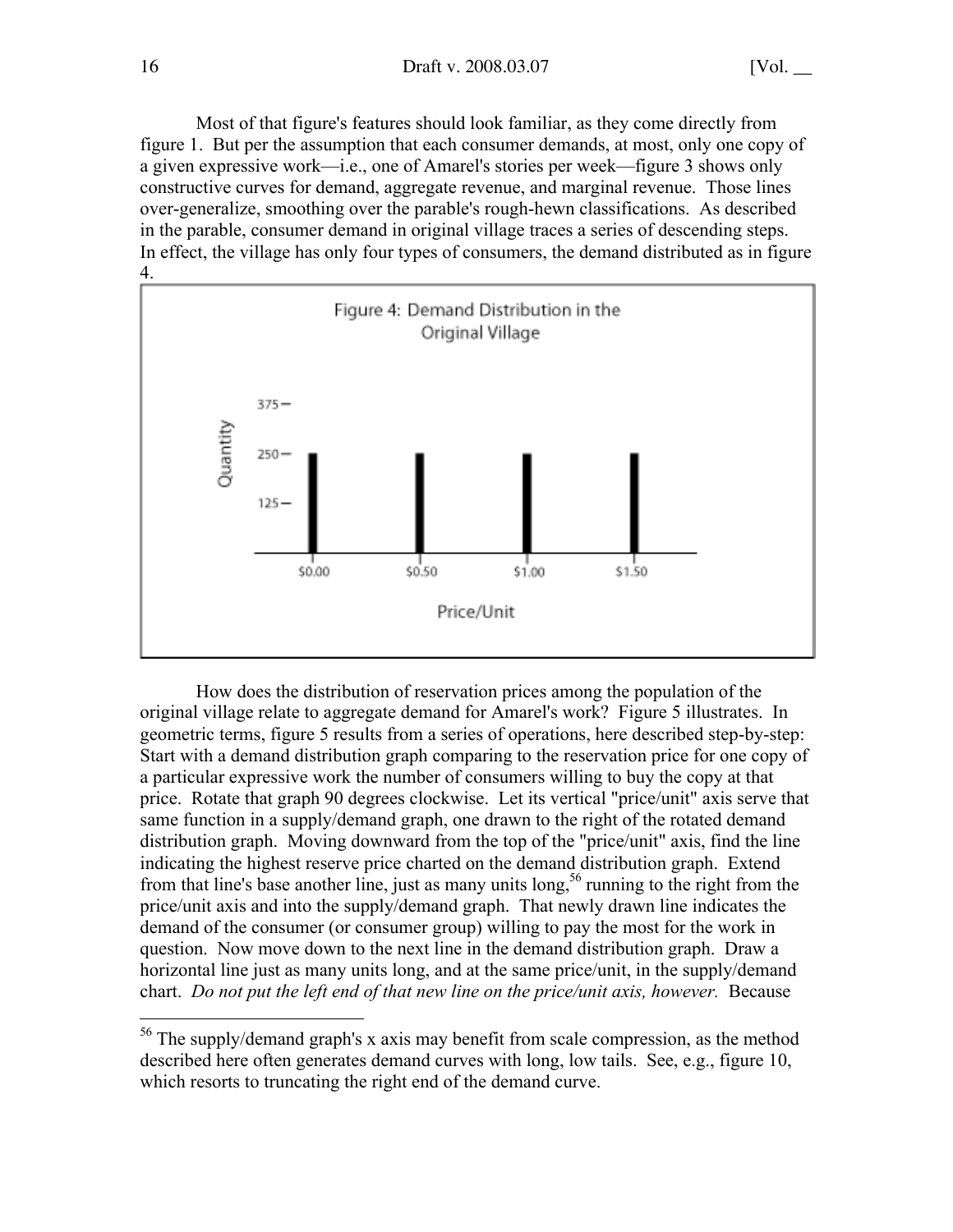Most of that figure's features should look familiar, as they come directly from figure 1. But per the assumption that each consumer demands, at most, only one copy of a given expressive work—i.e., one of Amarel's stories per week—figure 3 shows only constructive curves for demand, aggregate revenue, and marginal revenue. Those lines over-generalize, smoothing over the parable's rough-hewn classifications. As described in the parable, consumer demand in original village traces a series of descending steps. In effect, the village has only four types of consumers, the demand distributed as in figure 4.



How does the distribution of reservation prices among the population of the original village relate to aggregate demand for Amarel's work? Figure 5 illustrates. In geometric terms, figure 5 results from a series of operations, here described step-by-step: Start with a demand distribution graph comparing to the reservation price for one copy of a particular expressive work the number of consumers willing to buy the copy at that price. Rotate that graph 90 degrees clockwise. Let its vertical "price/unit" axis serve that same function in a supply/demand graph, one drawn to the right of the rotated demand distribution graph. Moving downward from the top of the "price/unit" axis, find the line indicating the highest reserve price charted on the demand distribution graph. Extend from that line's base another line, just as many units long,<sup>56</sup> running to the right from the price/unit axis and into the supply/demand graph. That newly drawn line indicates the demand of the consumer (or consumer group) willing to pay the most for the work in question. Now move down to the next line in the demand distribution graph. Draw a horizontal line just as many units long, and at the same price/unit, in the supply/demand chart. *Do not put the left end of that new line on the price/unit axis, however.* Because

<sup>&</sup>lt;sup>56</sup> The supply/demand graph's x axis may benefit from scale compression, as the method described here often generates demand curves with long, low tails. See, e.g., figure 10, which resorts to truncating the right end of the demand curve.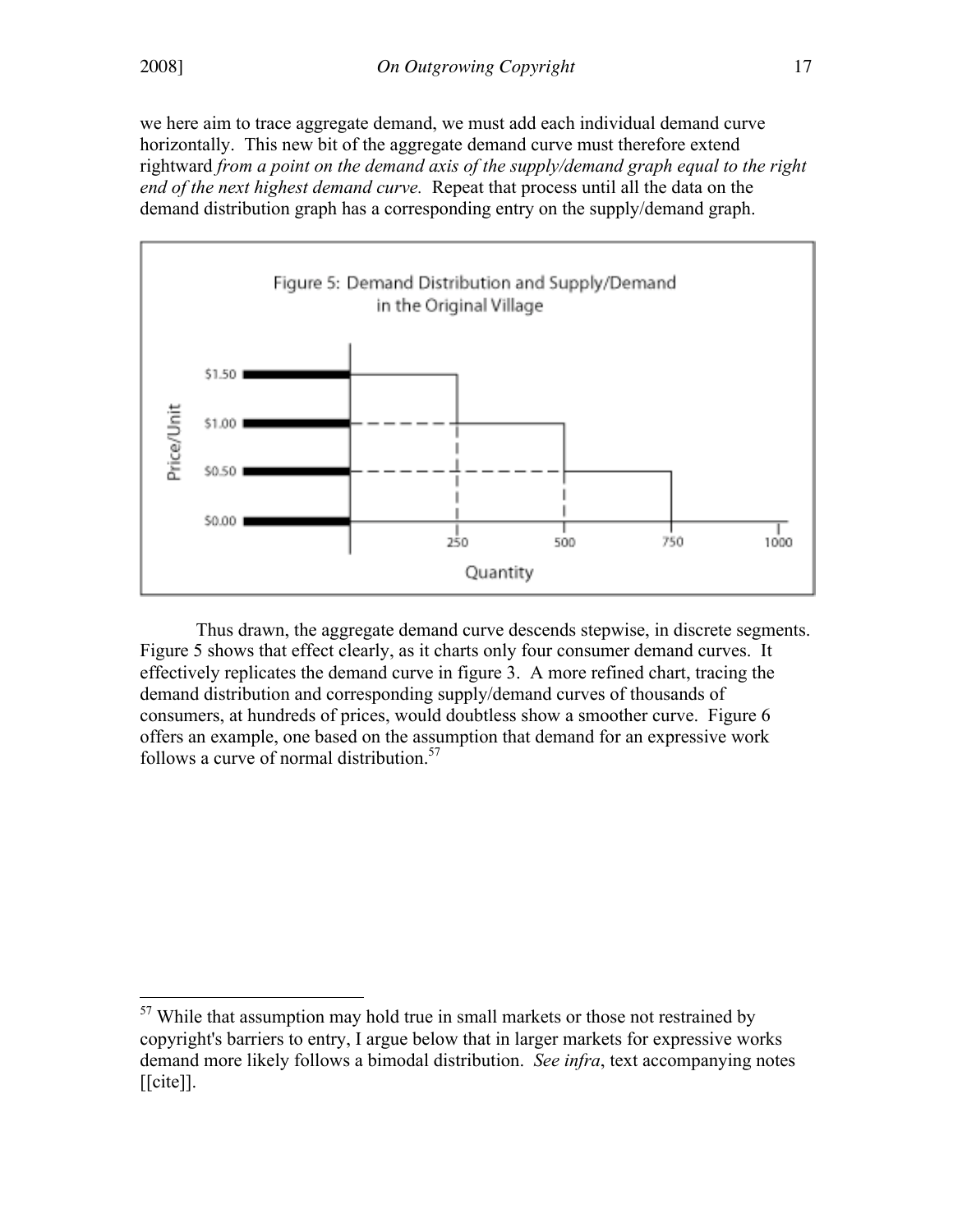we here aim to trace aggregate demand, we must add each individual demand curve horizontally. This new bit of the aggregate demand curve must therefore extend rightward *from a point on the demand axis of the supply/demand graph equal to the right end of the next highest demand curve.* Repeat that process until all the data on the demand distribution graph has a corresponding entry on the supply/demand graph.



Thus drawn, the aggregate demand curve descends stepwise, in discrete segments. Figure 5 shows that effect clearly, as it charts only four consumer demand curves. It effectively replicates the demand curve in figure 3. A more refined chart, tracing the demand distribution and corresponding supply/demand curves of thousands of consumers, at hundreds of prices, would doubtless show a smoother curve. Figure 6 offers an example, one based on the assumption that demand for an expressive work follows a curve of normal distribution. $57$ 

<sup>&</sup>lt;sup>57</sup> While that assumption may hold true in small markets or those not restrained by copyright's barriers to entry, I argue below that in larger markets for expressive works demand more likely follows a bimodal distribution. *See infra*, text accompanying notes  $[$ [cite]].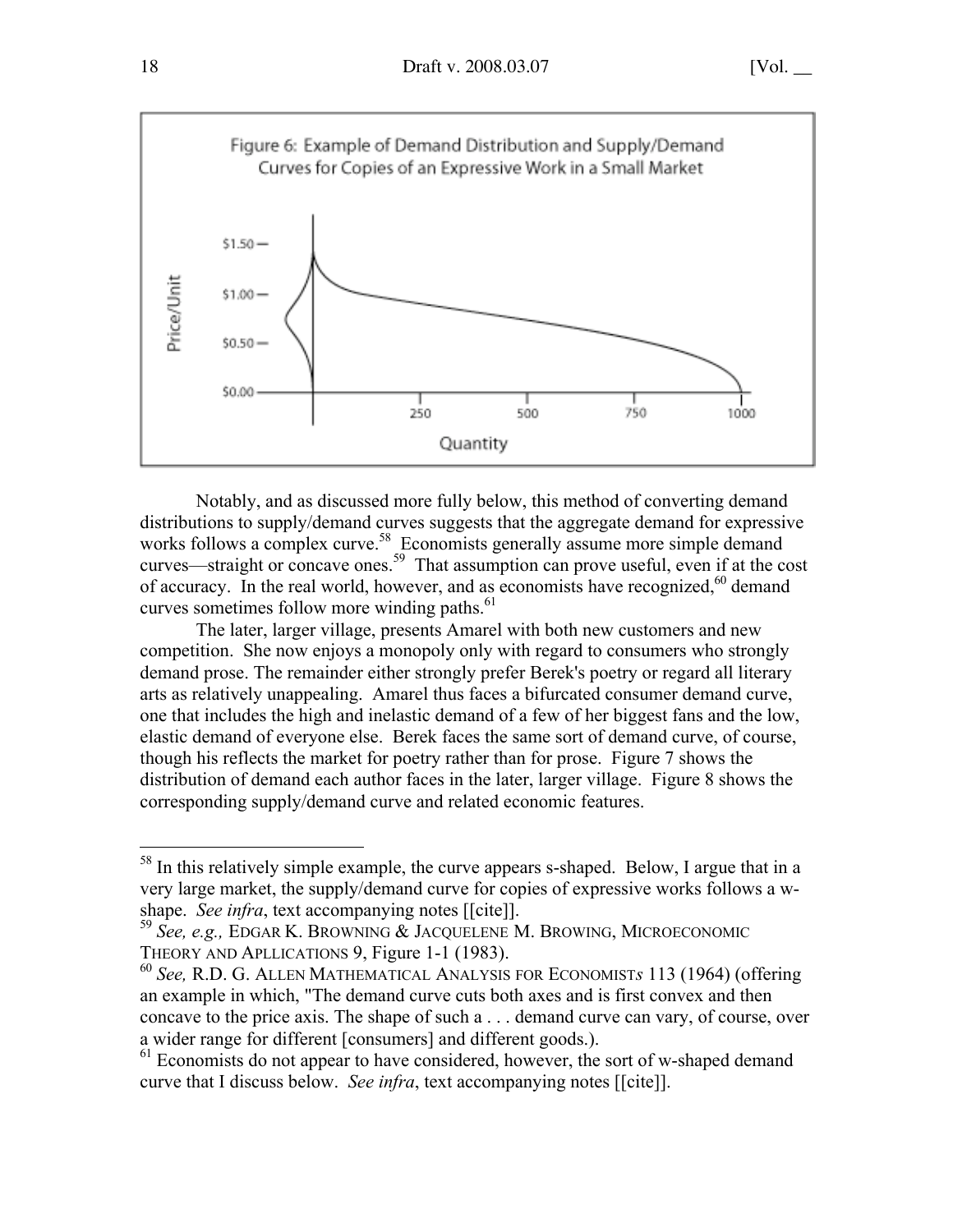

Notably, and as discussed more fully below, this method of converting demand distributions to supply/demand curves suggests that the aggregate demand for expressive works follows a complex curve.<sup>58</sup> Economists generally assume more simple demand curves—straight or concave ones.<sup>59</sup> That assumption can prove useful, even if at the cost of accuracy. In the real world, however, and as economists have recognized,<sup>60</sup> demand curves sometimes follow more winding paths. $61$ 

The later, larger village, presents Amarel with both new customers and new competition. She now enjoys a monopoly only with regard to consumers who strongly demand prose. The remainder either strongly prefer Berek's poetry or regard all literary arts as relatively unappealing. Amarel thus faces a bifurcated consumer demand curve, one that includes the high and inelastic demand of a few of her biggest fans and the low, elastic demand of everyone else. Berek faces the same sort of demand curve, of course, though his reflects the market for poetry rather than for prose. Figure 7 shows the distribution of demand each author faces in the later, larger village. Figure 8 shows the corresponding supply/demand curve and related economic features.

<sup>&</sup>lt;sup>58</sup> In this relatively simple example, the curve appears s-shaped. Below, I argue that in a very large market, the supply/demand curve for copies of expressive works follows a wshape. *See infra*, text accompanying notes [[cite]].

<sup>59</sup> *See, e.g.,* EDGAR K. BROWNING & JACQUELENE M. BROWING, MICROECONOMIC THEORY AND APLLICATIONS 9, Figure 1-1 (1983).

<sup>60</sup> *See,* R.D. G. ALLEN MATHEMATICAL ANALYSIS FOR ECONOMIST*s* 113 (1964) (offering an example in which, "The demand curve cuts both axes and is first convex and then concave to the price axis. The shape of such a . . . demand curve can vary, of course, over a wider range for different [consumers] and different goods.).

<sup>&</sup>lt;sup>61</sup> Economists do not appear to have considered, however, the sort of w-shaped demand curve that I discuss below. *See infra*, text accompanying notes [[cite]].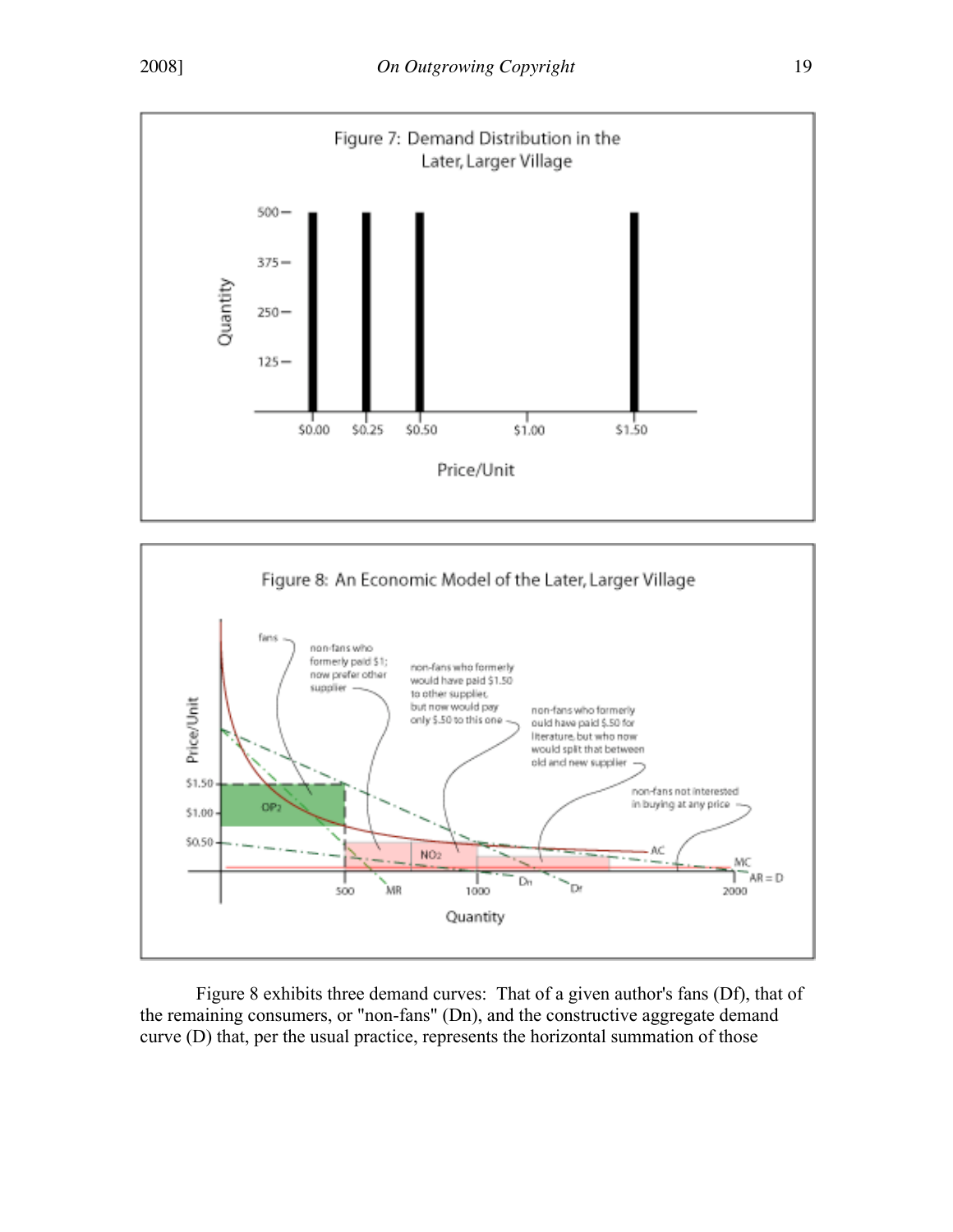



Figure 8 exhibits three demand curves: That of a given author's fans (Df), that of the remaining consumers, or "non-fans" (Dn), and the constructive aggregate demand curve (D) that, per the usual practice, represents the horizontal summation of those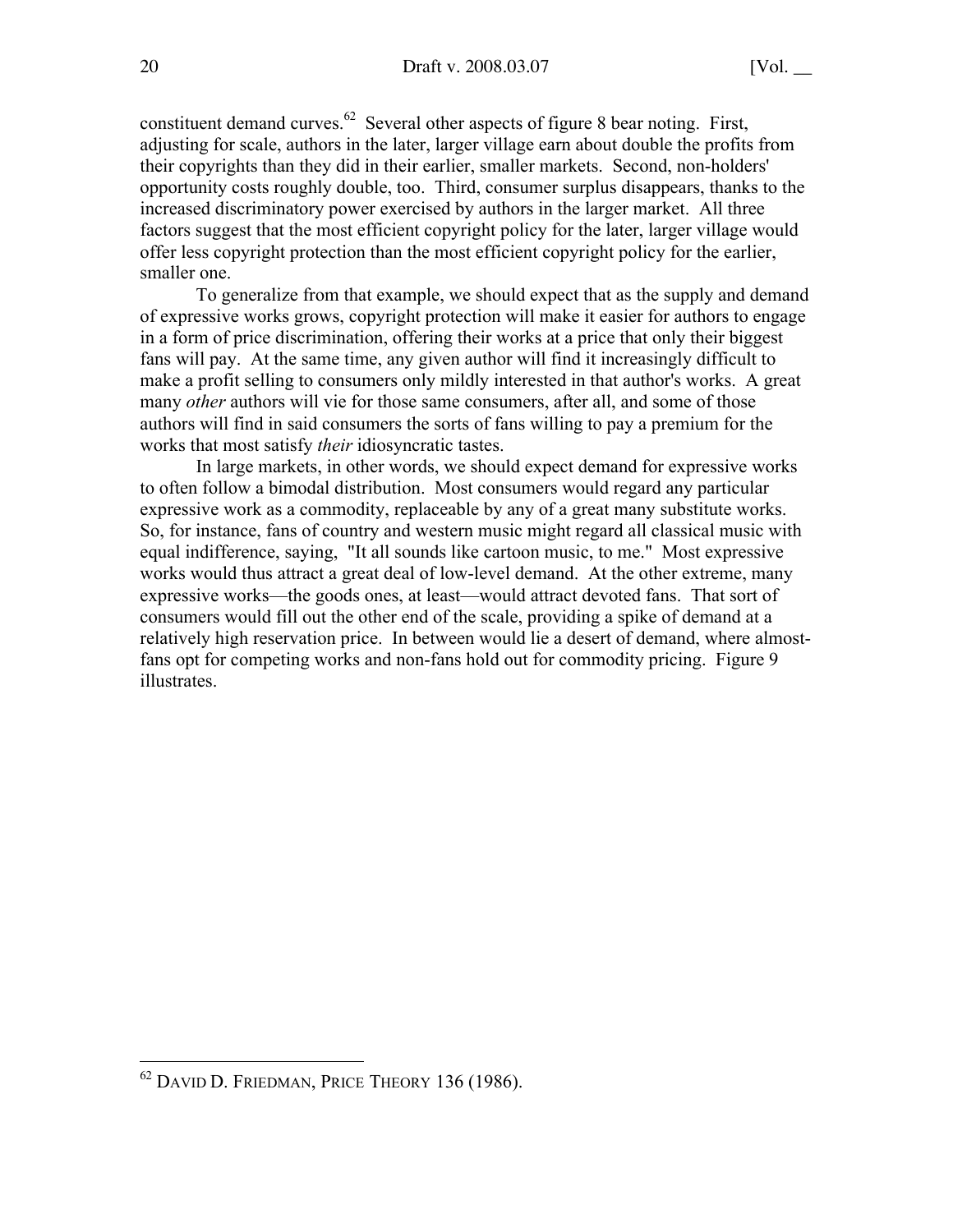constituent demand curves. $62$  Several other aspects of figure 8 bear noting. First, adjusting for scale, authors in the later, larger village earn about double the profits from their copyrights than they did in their earlier, smaller markets. Second, non-holders' opportunity costs roughly double, too. Third, consumer surplus disappears, thanks to the increased discriminatory power exercised by authors in the larger market. All three factors suggest that the most efficient copyright policy for the later, larger village would offer less copyright protection than the most efficient copyright policy for the earlier, smaller one.

To generalize from that example, we should expect that as the supply and demand of expressive works grows, copyright protection will make it easier for authors to engage in a form of price discrimination, offering their works at a price that only their biggest fans will pay. At the same time, any given author will find it increasingly difficult to make a profit selling to consumers only mildly interested in that author's works. A great many *other* authors will vie for those same consumers, after all, and some of those authors will find in said consumers the sorts of fans willing to pay a premium for the works that most satisfy *their* idiosyncratic tastes.

In large markets, in other words, we should expect demand for expressive works to often follow a bimodal distribution. Most consumers would regard any particular expressive work as a commodity, replaceable by any of a great many substitute works. So, for instance, fans of country and western music might regard all classical music with equal indifference, saying, "It all sounds like cartoon music, to me." Most expressive works would thus attract a great deal of low-level demand. At the other extreme, many expressive works—the goods ones, at least—would attract devoted fans. That sort of consumers would fill out the other end of the scale, providing a spike of demand at a relatively high reservation price. In between would lie a desert of demand, where almostfans opt for competing works and non-fans hold out for commodity pricing. Figure 9 illustrates.

62 DAVID D. FRIEDMAN, PRICE THEORY 136 (1986).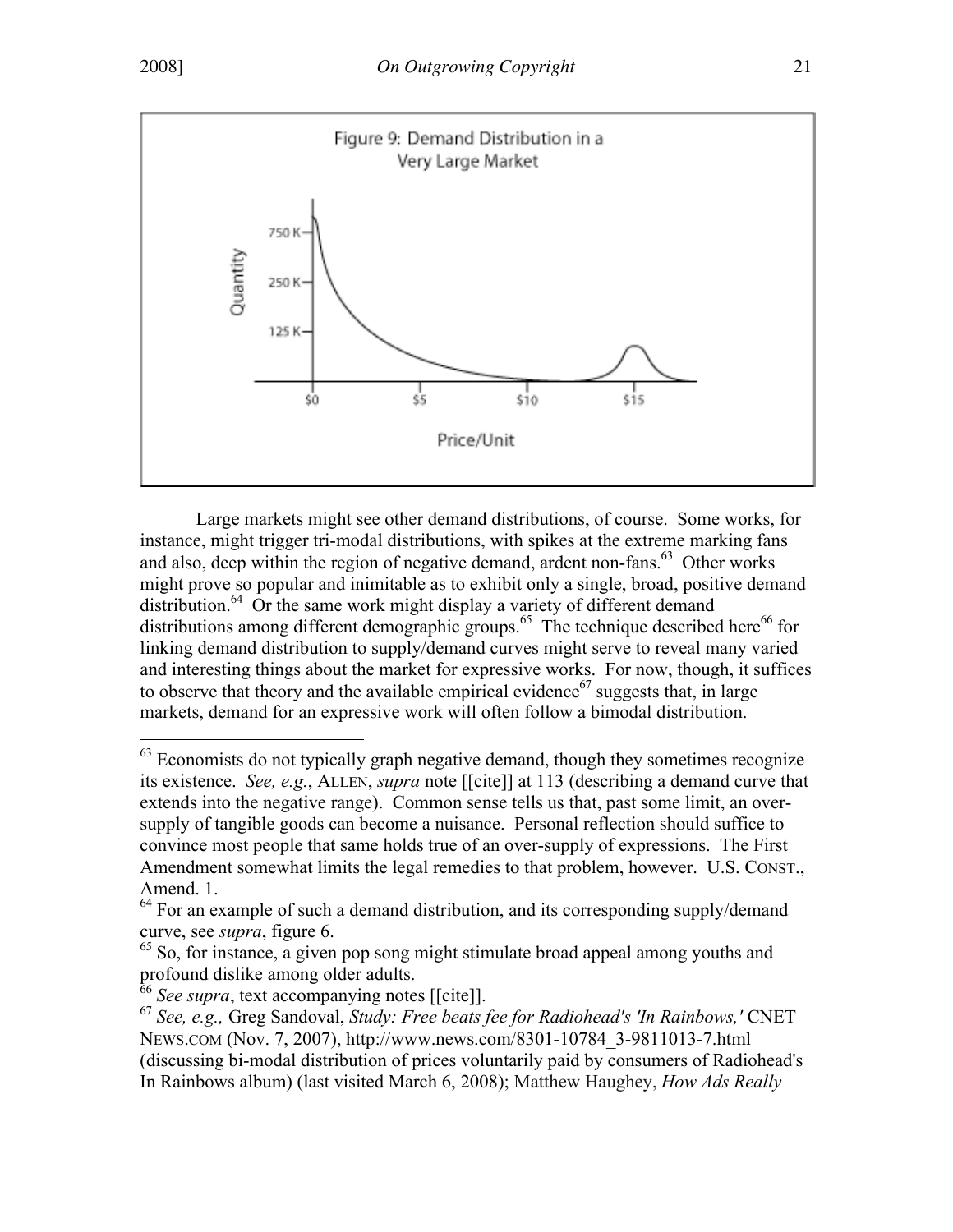

Large markets might see other demand distributions, of course. Some works, for instance, might trigger tri-modal distributions, with spikes at the extreme marking fans and also, deep within the region of negative demand, ardent non-fans.<sup>63</sup> Other works might prove so popular and inimitable as to exhibit only a single, broad, positive demand distribution.<sup>64</sup> Or the same work might display a variety of different demand distributions among different demographic groups.<sup>65</sup> The technique described here<sup>66</sup> for linking demand distribution to supply/demand curves might serve to reveal many varied and interesting things about the market for expressive works. For now, though, it suffices to observe that theory and the available empirical evidence<sup>67</sup> suggests that, in large markets, demand for an expressive work will often follow a bimodal distribution.

<sup>&</sup>lt;sup>63</sup> Economists do not typically graph negative demand, though they sometimes recognize its existence. *See, e.g.*, ALLEN, *supra* note [[cite]] at 113 (describing a demand curve that extends into the negative range). Common sense tells us that, past some limit, an oversupply of tangible goods can become a nuisance. Personal reflection should suffice to convince most people that same holds true of an over-supply of expressions. The First Amendment somewhat limits the legal remedies to that problem, however. U.S. CONST., Amend. 1.

 $64$  For an example of such a demand distribution, and its corresponding supply/demand curve, see *supra*, figure 6.

<sup>&</sup>lt;sup>65</sup> So, for instance, a given pop song might stimulate broad appeal among youths and profound dislike among older adults.

<sup>66</sup> *See supra*, text accompanying notes [[cite]].

<sup>67</sup> *See, e.g.,* Greg Sandoval, *Study: Free beats fee for Radiohead's 'In Rainbows,'* CNET NEWS.COM (Nov. 7, 2007), http://www.news.com/8301-10784\_3-9811013-7.html (discussing bi-modal distribution of prices voluntarily paid by consumers of Radiohead's In Rainbows album) (last visited March 6, 2008); Matthew Haughey, *How Ads Really*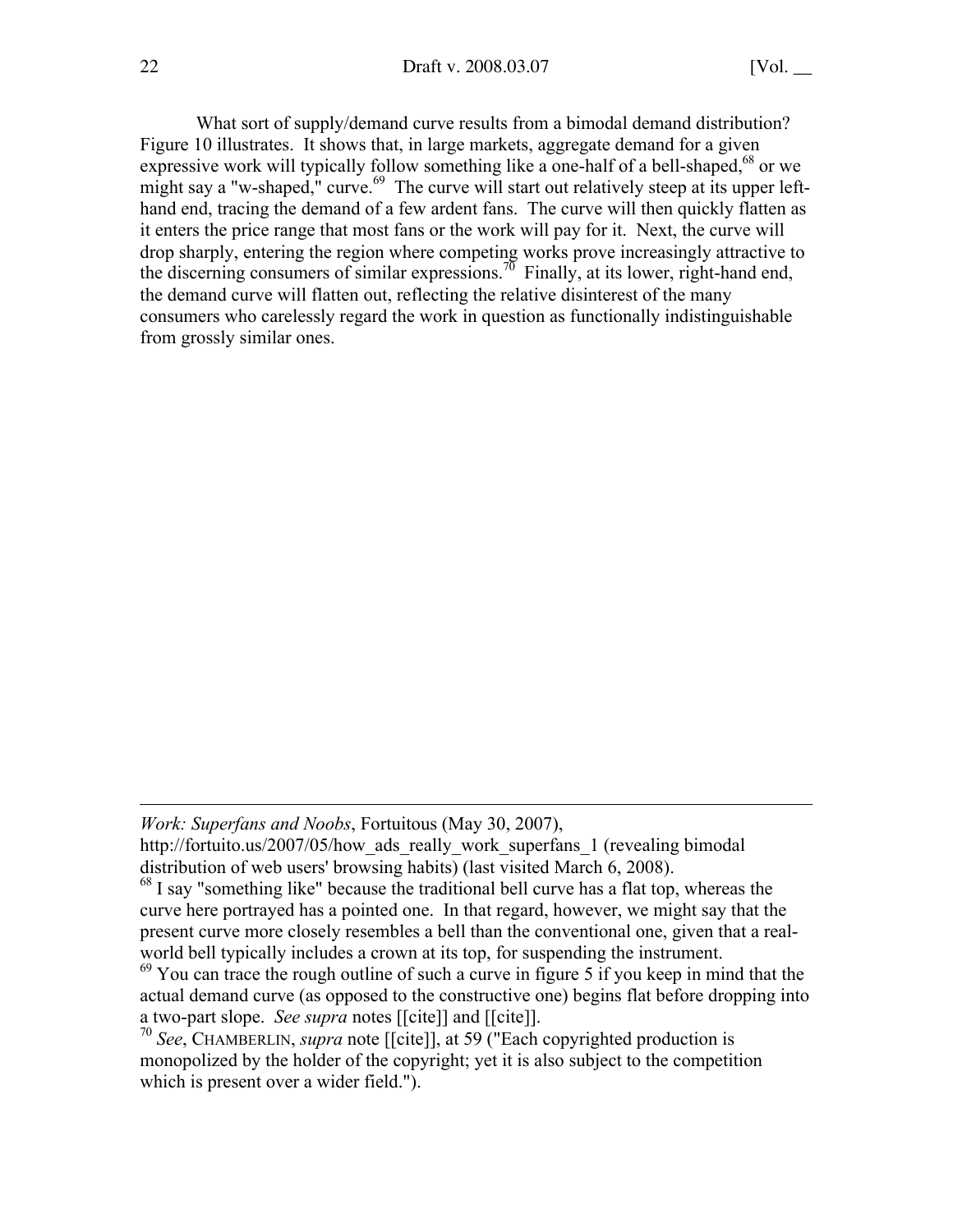What sort of supply/demand curve results from a bimodal demand distribution? Figure 10 illustrates. It shows that, in large markets, aggregate demand for a given expressive work will typically follow something like a one-half of a bell-shaped,<sup>68</sup> or we might say a "w-shaped," curve.<sup>69</sup> The curve will start out relatively steep at its upper lefthand end, tracing the demand of a few ardent fans. The curve will then quickly flatten as it enters the price range that most fans or the work will pay for it. Next, the curve will drop sharply, entering the region where competing works prove increasingly attractive to the discerning consumers of similar expressions.<sup>70</sup> Finally, at its lower, right-hand end, the demand curve will flatten out, reflecting the relative disinterest of the many consumers who carelessly regard the work in question as functionally indistinguishable from grossly similar ones.

 $\overline{a}$ 

*Work: Superfans and Noobs*, Fortuitous (May 30, 2007),

http://fortuito.us/2007/05/how ads really work superfans 1 (revealing bimodal distribution of web users' browsing habits) (last visited March 6, 2008).

<sup>&</sup>lt;sup>68</sup> I say "something like" because the traditional bell curve has a flat top, whereas the curve here portrayed has a pointed one. In that regard, however, we might say that the present curve more closely resembles a bell than the conventional one, given that a realworld bell typically includes a crown at its top, for suspending the instrument.

 $69$  You can trace the rough outline of such a curve in figure 5 if you keep in mind that the actual demand curve (as opposed to the constructive one) begins flat before dropping into a two-part slope. *See supra* notes [[cite]] and [[cite]].

<sup>70</sup> *See*, CHAMBERLIN, *supra* note [[cite]], at 59 ("Each copyrighted production is monopolized by the holder of the copyright; yet it is also subject to the competition which is present over a wider field.").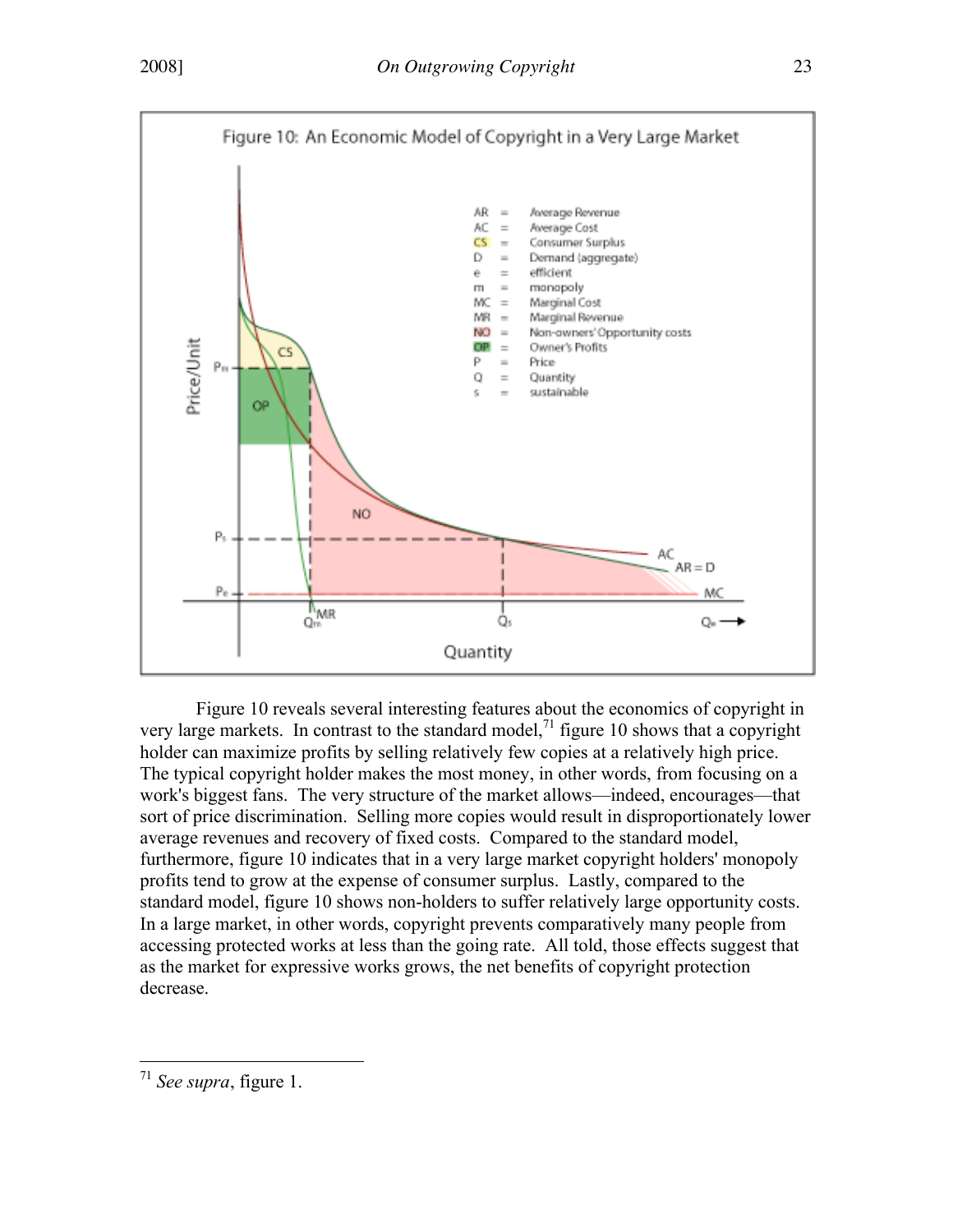

Figure 10 reveals several interesting features about the economics of copyright in very large markets. In contrast to the standard model, $<sup>71</sup>$  figure 10 shows that a copyright</sup> holder can maximize profits by selling relatively few copies at a relatively high price. The typical copyright holder makes the most money, in other words, from focusing on a work's biggest fans. The very structure of the market allows—indeed, encourages—that sort of price discrimination. Selling more copies would result in disproportionately lower average revenues and recovery of fixed costs. Compared to the standard model, furthermore, figure 10 indicates that in a very large market copyright holders' monopoly profits tend to grow at the expense of consumer surplus. Lastly, compared to the standard model, figure 10 shows non-holders to suffer relatively large opportunity costs. In a large market, in other words, copyright prevents comparatively many people from accessing protected works at less than the going rate. All told, those effects suggest that as the market for expressive works grows, the net benefits of copyright protection decrease.

<sup>71</sup> *See supra*, figure 1.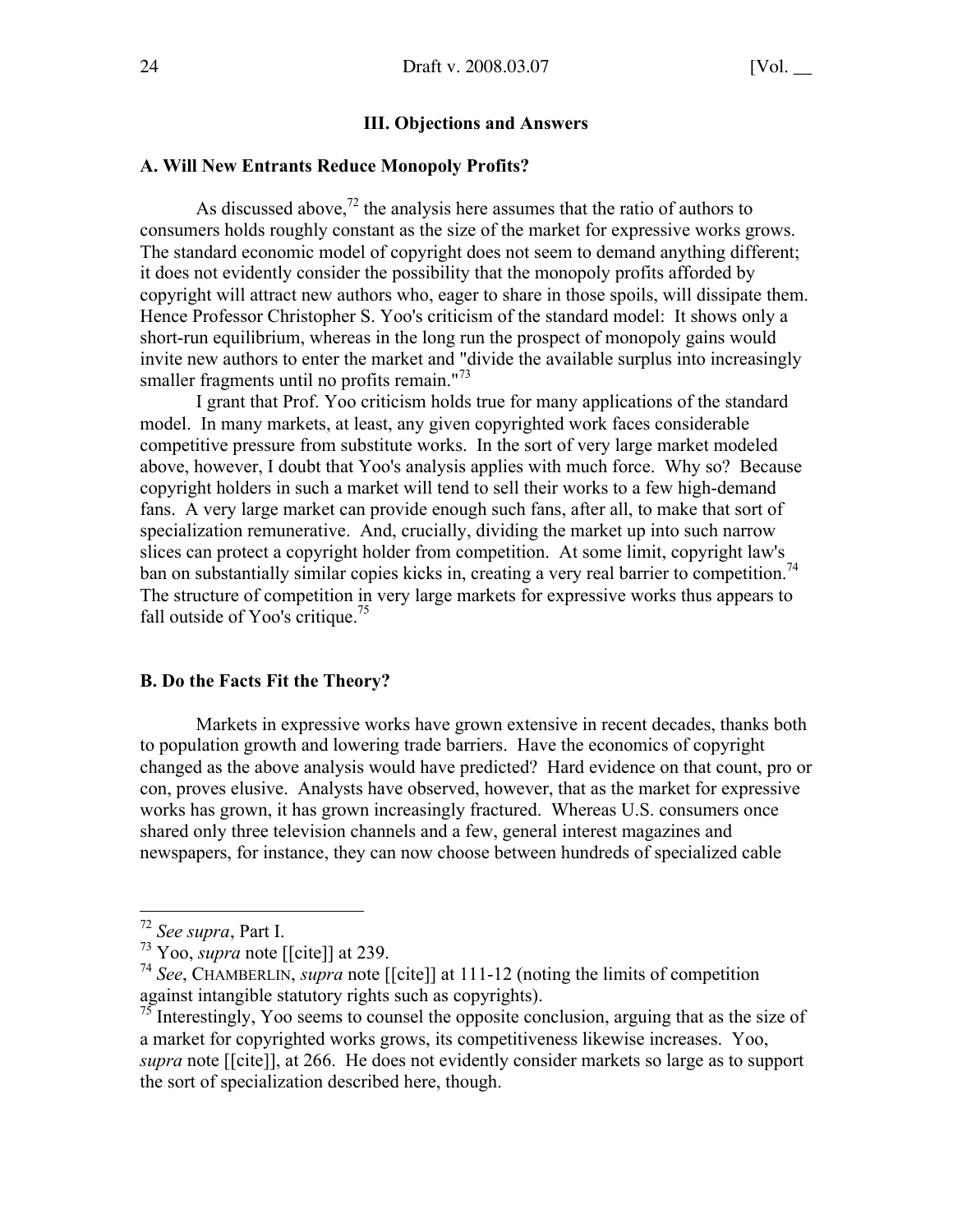## III. Objections and Answers

#### A. Will New Entrants Reduce Monopoly Profits?

As discussed above,<sup>72</sup> the analysis here assumes that the ratio of authors to consumers holds roughly constant as the size of the market for expressive works grows. The standard economic model of copyright does not seem to demand anything different; it does not evidently consider the possibility that the monopoly profits afforded by copyright will attract new authors who, eager to share in those spoils, will dissipate them. Hence Professor Christopher S. Yoo's criticism of the standard model: It shows only a short-run equilibrium, whereas in the long run the prospect of monopoly gains would invite new authors to enter the market and "divide the available surplus into increasingly smaller fragments until no profits remain."<sup>73</sup>

I grant that Prof. Yoo criticism holds true for many applications of the standard model. In many markets, at least, any given copyrighted work faces considerable competitive pressure from substitute works. In the sort of very large market modeled above, however, I doubt that Yoo's analysis applies with much force. Why so? Because copyright holders in such a market will tend to sell their works to a few high-demand fans. A very large market can provide enough such fans, after all, to make that sort of specialization remunerative. And, crucially, dividing the market up into such narrow slices can protect a copyright holder from competition. At some limit, copyright law's ban on substantially similar copies kicks in, creating a very real barrier to competition.<sup>74</sup> The structure of competition in very large markets for expressive works thus appears to fall outside of Yoo's critique.<sup>75</sup>

#### B. Do the Facts Fit the Theory?

Markets in expressive works have grown extensive in recent decades, thanks both to population growth and lowering trade barriers. Have the economics of copyright changed as the above analysis would have predicted? Hard evidence on that count, pro or con, proves elusive. Analysts have observed, however, that as the market for expressive works has grown, it has grown increasingly fractured. Whereas U.S. consumers once shared only three television channels and a few, general interest magazines and newspapers, for instance, they can now choose between hundreds of specialized cable

<sup>72</sup> *See supra*, Part I.

 $^{73}$  Yoo, *supra* note [[cite]] at 239.

<sup>74</sup> *See*, CHAMBERLIN, *supra* note [[cite]] at 111-12 (noting the limits of competition

against intangible statutory rights such as copyrights).<br><sup>75</sup> Interestingly, Yoo seems to counsel the opposite conclusion, arguing that as the size of a market for copyrighted works grows, its competitiveness likewise increases. Yoo, *supra* note [[cite]], at 266. He does not evidently consider markets so large as to support the sort of specialization described here, though.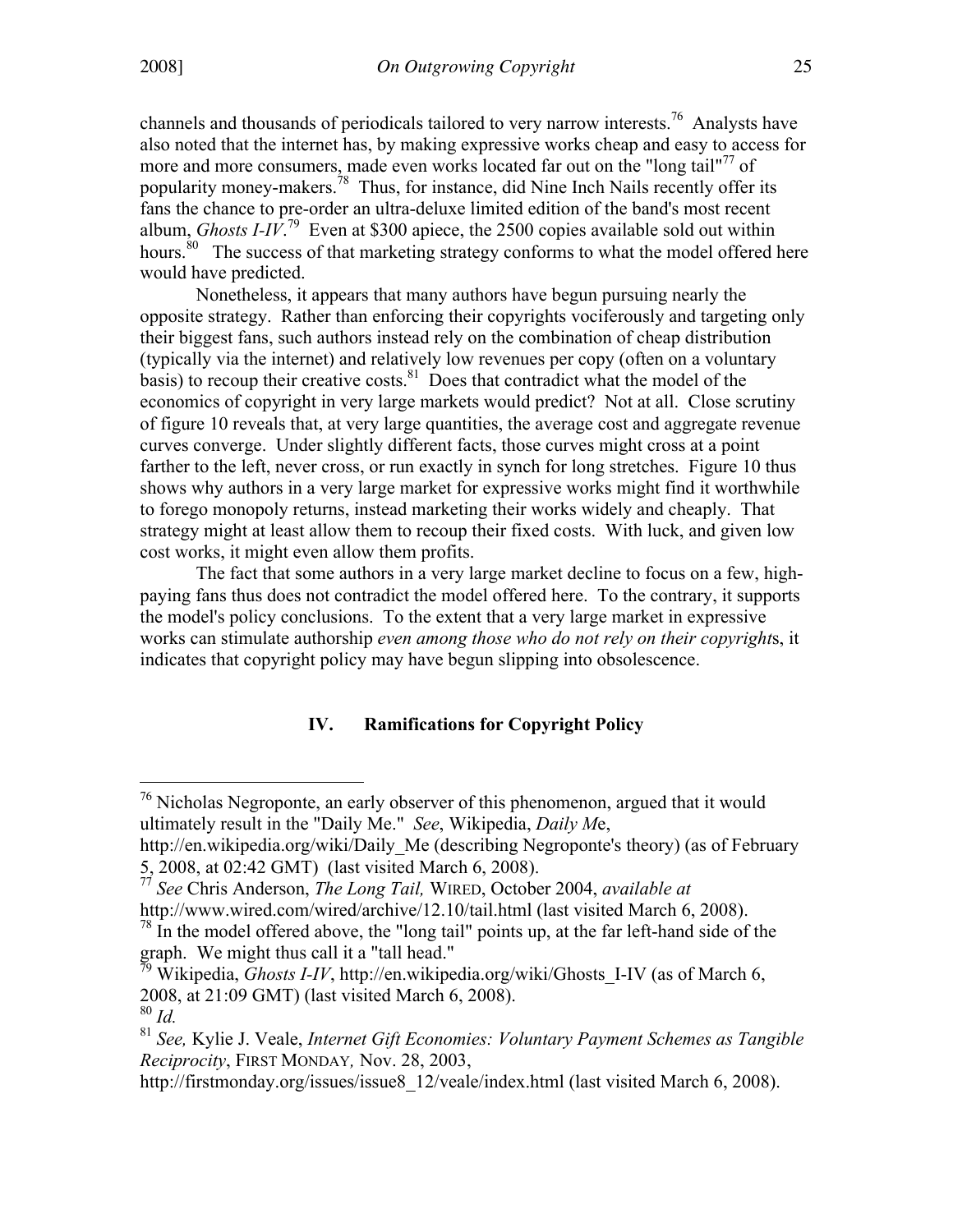channels and thousands of periodicals tailored to very narrow interests.<sup>76</sup> Analysts have also noted that the internet has, by making expressive works cheap and easy to access for more and more consumers, made even works located far out on the "long tail"<sup>77</sup> of popularity money-makers.<sup>78</sup> Thus, for instance, did Nine Inch Nails recently offer its fans the chance to pre-order an ultra-deluxe limited edition of the band's most recent album, *Ghosts I-IV*.<sup>79</sup> Even at \$300 apiece, the 2500 copies available sold out within hours.<sup>80</sup> The success of that marketing strategy conforms to what the model offered here would have predicted.

Nonetheless, it appears that many authors have begun pursuing nearly the opposite strategy. Rather than enforcing their copyrights vociferously and targeting only their biggest fans, such authors instead rely on the combination of cheap distribution (typically via the internet) and relatively low revenues per copy (often on a voluntary basis) to recoup their creative costs.<sup>81</sup> Does that contradict what the model of the economics of copyright in very large markets would predict? Not at all. Close scrutiny of figure 10 reveals that, at very large quantities, the average cost and aggregate revenue curves converge. Under slightly different facts, those curves might cross at a point farther to the left, never cross, or run exactly in synch for long stretches. Figure 10 thus shows why authors in a very large market for expressive works might find it worthwhile to forego monopoly returns, instead marketing their works widely and cheaply. That strategy might at least allow them to recoup their fixed costs. With luck, and given low cost works, it might even allow them profits.

The fact that some authors in a very large market decline to focus on a few, highpaying fans thus does not contradict the model offered here. To the contrary, it supports the model's policy conclusions. To the extent that a very large market in expressive works can stimulate authorship *even among those who do not rely on their copyright*s, it indicates that copyright policy may have begun slipping into obsolescence.

# IV. Ramifications for Copyright Policy

<sup>&</sup>lt;sup>76</sup> Nicholas Negroponte, an early observer of this phenomenon, argued that it would ultimately result in the "Daily Me." *See*, Wikipedia, *Daily M*e,

http://en.wikipedia.org/wiki/Daily Me (describing Negroponte's theory) (as of February 5, 2008, at 02:42 GMT) (last visited March 6, 2008).

<sup>77</sup> *See* Chris Anderson, *The Long Tail,* WIRED, October 2004, *available at* http://www.wired.com/wired/archive/12.10/tail.html (last visited March 6, 2008).

 $^{78}$  In the model offered above, the "long tail" points up, at the far left-hand side of the

graph. We might thus call it a "tall head." 79 Wikipedia, *Ghosts I-IV*, http://en.wikipedia.org/wiki/Ghosts\_I-IV (as of March 6, 2008, at 21:09 GMT) (last visited March 6, 2008).

<sup>80</sup> *Id.*

<sup>81</sup> *See,* Kylie J. Veale, *Internet Gift Economies: Voluntary Payment Schemes as Tangible Reciprocity*, FIRST MONDAY*,* Nov. 28, 2003,

http://firstmonday.org/issues/issue8\_12/veale/index.html (last visited March 6, 2008).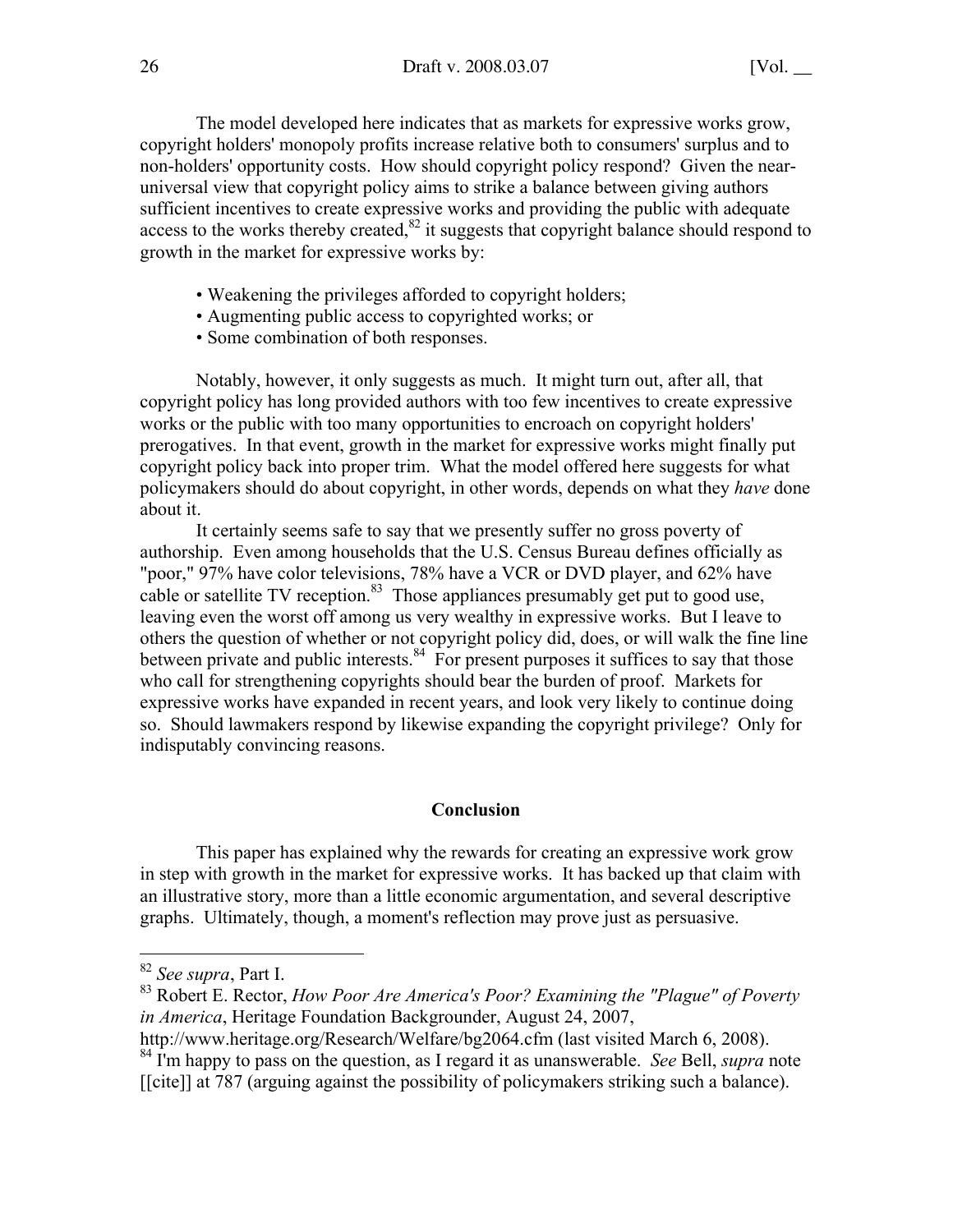The model developed here indicates that as markets for expressive works grow, copyright holders' monopoly profits increase relative both to consumers' surplus and to non-holders' opportunity costs. How should copyright policy respond? Given the nearuniversal view that copyright policy aims to strike a balance between giving authors sufficient incentives to create expressive works and providing the public with adequate access to the works thereby created, $82$  it suggests that copyright balance should respond to growth in the market for expressive works by:

- Weakening the privileges afforded to copyright holders;
- Augmenting public access to copyrighted works; or
- Some combination of both responses.

Notably, however, it only suggests as much. It might turn out, after all, that copyright policy has long provided authors with too few incentives to create expressive works or the public with too many opportunities to encroach on copyright holders' prerogatives. In that event, growth in the market for expressive works might finally put copyright policy back into proper trim. What the model offered here suggests for what policymakers should do about copyright, in other words, depends on what they *have* done about it.

It certainly seems safe to say that we presently suffer no gross poverty of authorship. Even among households that the U.S. Census Bureau defines officially as "poor," 97% have color televisions, 78% have a VCR or DVD player, and 62% have cable or satellite TV reception.<sup>83</sup> Those appliances presumably get put to good use, leaving even the worst off among us very wealthy in expressive works. But I leave to others the question of whether or not copyright policy did, does, or will walk the fine line between private and public interests. $84$  For present purposes it suffices to say that those who call for strengthening copyrights should bear the burden of proof. Markets for expressive works have expanded in recent years, and look very likely to continue doing so. Should lawmakers respond by likewise expanding the copyright privilege? Only for indisputably convincing reasons.

#### Conclusion

This paper has explained why the rewards for creating an expressive work grow in step with growth in the market for expressive works. It has backed up that claim with an illustrative story, more than a little economic argumentation, and several descriptive graphs. Ultimately, though, a moment's reflection may prove just as persuasive.

http://www.heritage.org/Research/Welfare/bg2064.cfm (last visited March 6, 2008).

<sup>82</sup> *See supra*, Part I.

<sup>83</sup> Robert E. Rector, *How Poor Are America's Poor? Examining the "Plague" of Poverty in America*, Heritage Foundation Backgrounder, August 24, 2007,

<sup>84</sup> I'm happy to pass on the question, as I regard it as unanswerable. *See* Bell, *supra* note [[cite]] at 787 (arguing against the possibility of policymakers striking such a balance).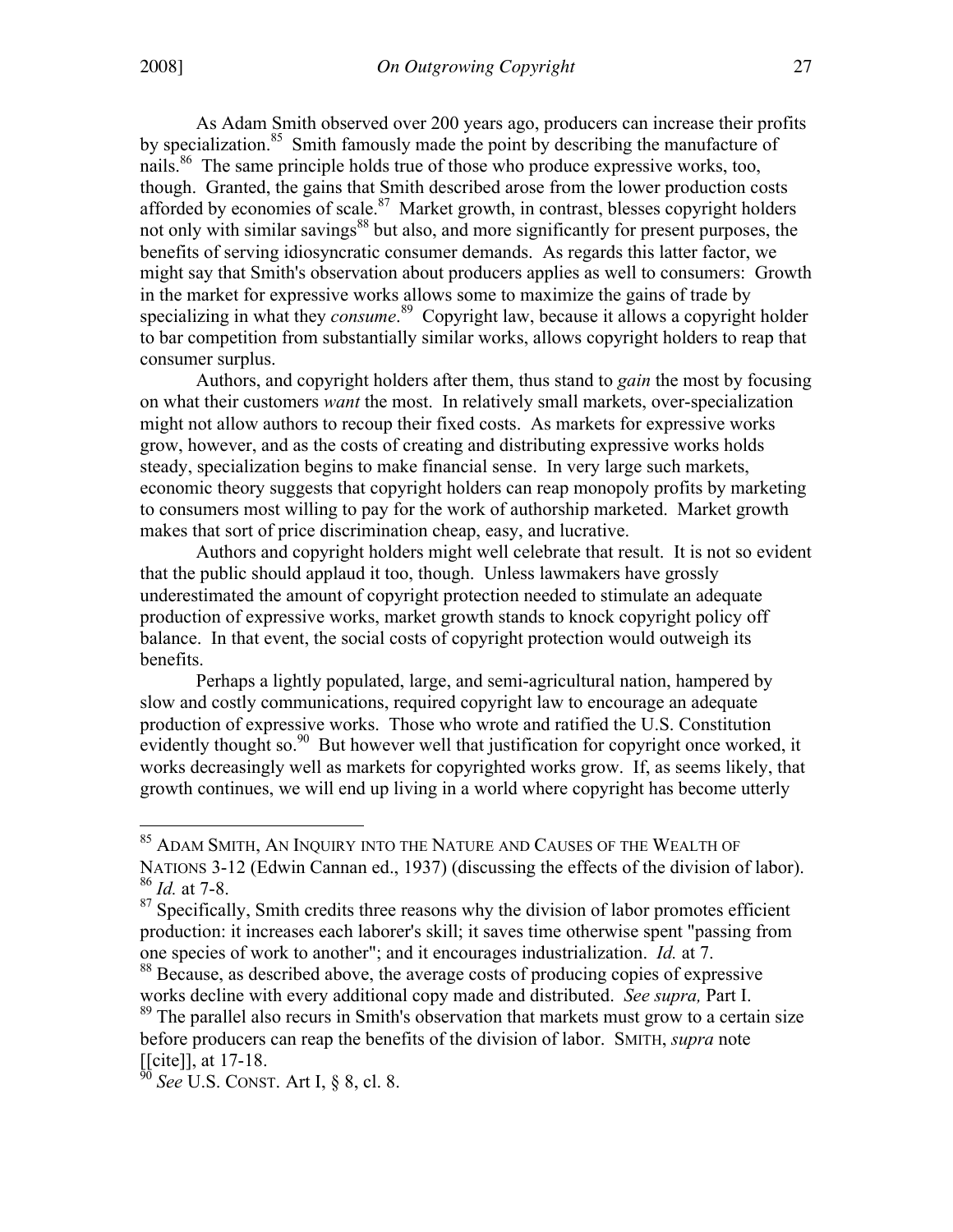As Adam Smith observed over 200 years ago, producers can increase their profits by specialization.<sup>85</sup> Smith famously made the point by describing the manufacture of nails.<sup>86</sup> The same principle holds true of those who produce expressive works, too, though. Granted, the gains that Smith described arose from the lower production costs afforded by economies of scale.<sup>87</sup> Market growth, in contrast, blesses copyright holders not only with similar savings<sup>88</sup> but also, and more significantly for present purposes, the benefits of serving idiosyncratic consumer demands. As regards this latter factor, we might say that Smith's observation about producers applies as well to consumers: Growth in the market for expressive works allows some to maximize the gains of trade by specializing in what they *consume*.<sup>89</sup> Copyright law, because it allows a copyright holder to bar competition from substantially similar works, allows copyright holders to reap that consumer surplus.

Authors, and copyright holders after them, thus stand to *gain* the most by focusing on what their customers *want* the most. In relatively small markets, over-specialization might not allow authors to recoup their fixed costs. As markets for expressive works grow, however, and as the costs of creating and distributing expressive works holds steady, specialization begins to make financial sense. In very large such markets, economic theory suggests that copyright holders can reap monopoly profits by marketing to consumers most willing to pay for the work of authorship marketed. Market growth makes that sort of price discrimination cheap, easy, and lucrative.

Authors and copyright holders might well celebrate that result. It is not so evident that the public should applaud it too, though. Unless lawmakers have grossly underestimated the amount of copyright protection needed to stimulate an adequate production of expressive works, market growth stands to knock copyright policy off balance. In that event, the social costs of copyright protection would outweigh its benefits.

Perhaps a lightly populated, large, and semi-agricultural nation, hampered by slow and costly communications, required copyright law to encourage an adequate production of expressive works. Those who wrote and ratified the U.S. Constitution evidently thought so.<sup>90</sup> But however well that justification for copyright once worked, it works decreasingly well as markets for copyrighted works grow. If, as seems likely, that growth continues, we will end up living in a world where copyright has become utterly

85 ADAM SMITH, AN INQUIRY INTO THE NATURE AND CAUSES OF THE WEALTH OF NATIONS 3-12 (Edwin Cannan ed., 1937) (discussing the effects of the division of labor).

<sup>86</sup> *Id.* at 7-8.

 $87$  Specifically, Smith credits three reasons why the division of labor promotes efficient production: it increases each laborer's skill; it saves time otherwise spent "passing from one species of work to another"; and it encourages industrialization. *Id.* at 7.

<sup>&</sup>lt;sup>88</sup> Because, as described above, the average costs of producing copies of expressive works decline with every additional copy made and distributed. *See supra,* Part I.

<sup>&</sup>lt;sup>89</sup> The parallel also recurs in Smith's observation that markets must grow to a certain size before producers can reap the benefits of the division of labor. SMITH, *supra* note  $[[cite]]$ , at 17-18.

<sup>&</sup>lt;sup>3</sup> *See* U.S. CONST. Art I, § 8, cl. 8.